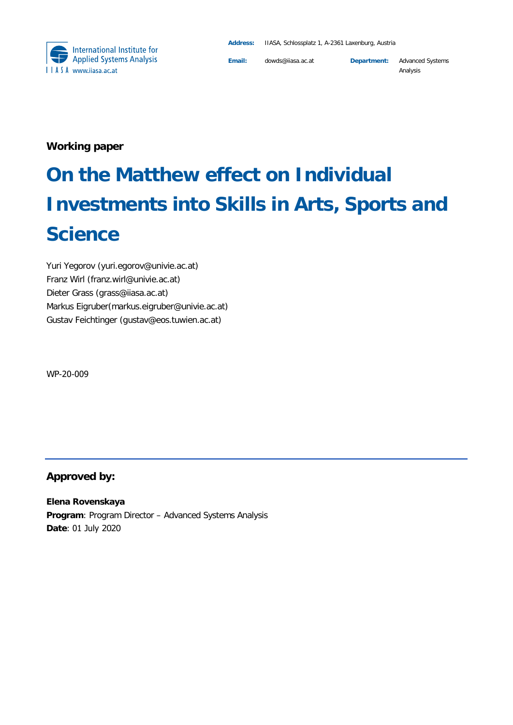

**Email:** dowds@iiasa.ac.at **Department:** Advanced Systems Analysis

**Working paper**

# **On the Matthew effect on Individual Investments into Skills in Arts, Sports and Science**

Yuri Yegorov (yuri.egorov@univie.ac.at) Franz Wirl (franz.wirl@univie.ac.at) Dieter Grass [\(grass@iiasa.ac.at\)](mailto:grass@iiasa.ac.at) Markus Eigruber(m[arkus.eigruber@univie.ac.at\)](mailto:rkus.eigruber@univie.ac.at) Gustav Feichtinger (gustav@eos.tuwien.ac.at)

WP-20-009

#### **Approved by:**

**Elena Rovenskaya Program**: Program Director – Advanced Systems Analysis **Date**: 01 July 2020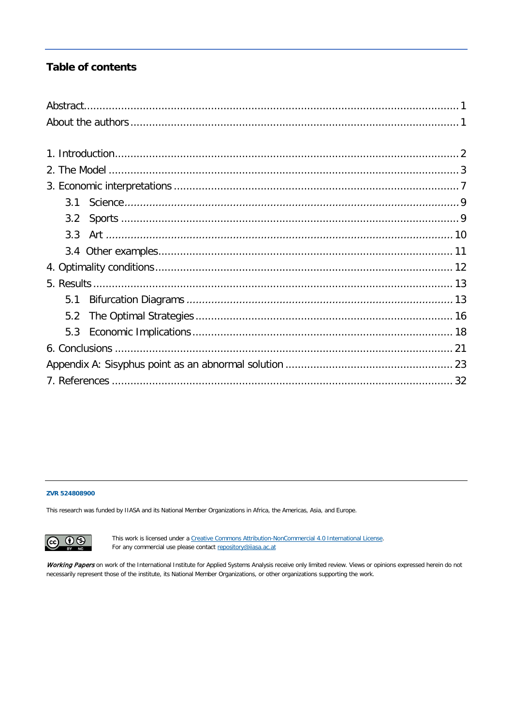### **Table of contents**

| 3.1 |  |
|-----|--|
| 3.2 |  |
| 3.3 |  |
|     |  |
|     |  |
|     |  |
| 5.1 |  |
| 5.2 |  |
| 5.3 |  |
|     |  |
|     |  |
|     |  |

#### **ZVR 524808900**

This research was funded by IIASA and its National Member Organizations in Africa, the Americas, Asia, and Europe.



This work is licensed under a [Creative Commons Attribution-NonCommercial 4.0 International License.](https://creativecommons.org/licenses/by-nc/4.0/#_blank) For any commercial use please contact [repository@iiasa.ac.at](mailto:repository@iiasa.ac.at)

Working Papers on work of the International Institute for Applied Systems Analysis receive only limited review. Views or opinions expressed herein do not necessarily represent those of the institute, its National Member Organizations, or other organizations supporting the work.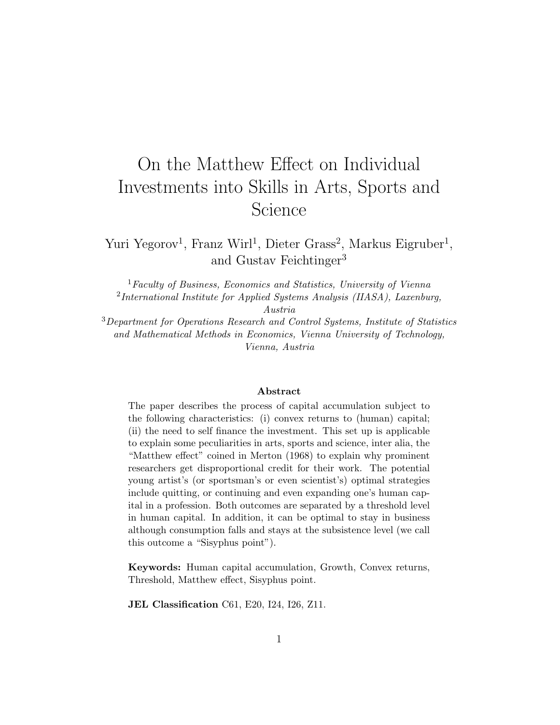## On the Matthew Effect on Individual Investments into Skills in Arts, Sports and Science

Yuri Yegorov<sup>1</sup>, Franz Wirl<sup>1</sup>, Dieter Grass<sup>2</sup>, Markus Eigruber<sup>1</sup>, and Gustav Feichtinger<sup>3</sup>

 ${}^{1}$ Faculty of Business, Economics and Statistics, University of Vienna  $2$ International Institute for Applied Systems Analysis (IIASA), Laxenburg,

Austria

<sup>3</sup>Department for Operations Research and Control Systems, Institute of Statistics and Mathematical Methods in Economics, Vienna University of Technology, Vienna, Austria

#### Abstract

The paper describes the process of capital accumulation subject to the following characteristics: (i) convex returns to (human) capital; (ii) the need to self finance the investment. This set up is applicable to explain some peculiarities in arts, sports and science, inter alia, the "Matthew effect" coined in Merton (1968) to explain why prominent researchers get disproportional credit for their work. The potential young artist's (or sportsman's or even scientist's) optimal strategies include quitting, or continuing and even expanding one's human capital in a profession. Both outcomes are separated by a threshold level in human capital. In addition, it can be optimal to stay in business although consumption falls and stays at the subsistence level (we call this outcome a "Sisyphus point").

Keywords: Human capital accumulation, Growth, Convex returns, Threshold, Matthew effect, Sisyphus point.

JEL Classification C61, E20, I24, I26, Z11.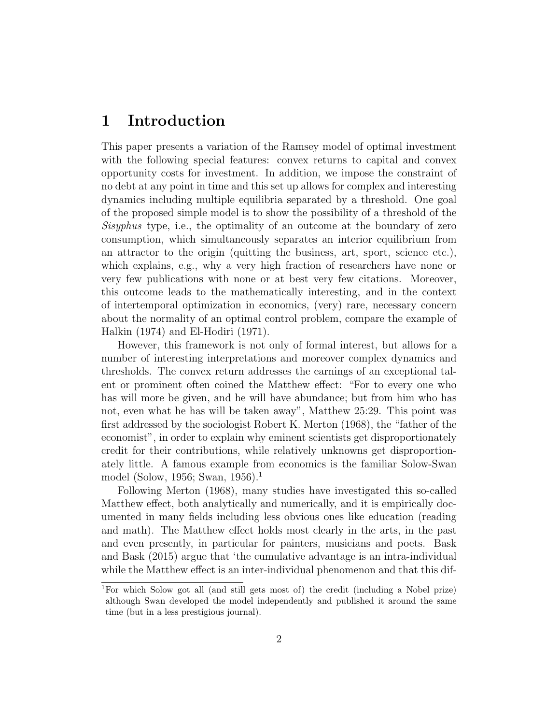## 1 Introduction

This paper presents a variation of the Ramsey model of optimal investment with the following special features: convex returns to capital and convex opportunity costs for investment. In addition, we impose the constraint of no debt at any point in time and this set up allows for complex and interesting dynamics including multiple equilibria separated by a threshold. One goal of the proposed simple model is to show the possibility of a threshold of the Sisyphus type, i.e., the optimality of an outcome at the boundary of zero consumption, which simultaneously separates an interior equilibrium from an attractor to the origin (quitting the business, art, sport, science etc.), which explains, e.g., why a very high fraction of researchers have none or very few publications with none or at best very few citations. Moreover, this outcome leads to the mathematically interesting, and in the context of intertemporal optimization in economics, (very) rare, necessary concern about the normality of an optimal control problem, compare the example of Halkin (1974) and El-Hodiri (1971).

However, this framework is not only of formal interest, but allows for a number of interesting interpretations and moreover complex dynamics and thresholds. The convex return addresses the earnings of an exceptional talent or prominent often coined the Matthew effect: "For to every one who has will more be given, and he will have abundance; but from him who has not, even what he has will be taken away", Matthew 25:29. This point was first addressed by the sociologist Robert K. Merton (1968), the "father of the economist", in order to explain why eminent scientists get disproportionately credit for their contributions, while relatively unknowns get disproportionately little. A famous example from economics is the familiar Solow-Swan model (Solow, 1956; Swan, 1956).<sup>1</sup>

Following Merton (1968), many studies have investigated this so-called Matthew effect, both analytically and numerically, and it is empirically documented in many fields including less obvious ones like education (reading and math). The Matthew effect holds most clearly in the arts, in the past and even presently, in particular for painters, musicians and poets. Bask and Bask (2015) argue that 'the cumulative advantage is an intra-individual while the Matthew effect is an inter-individual phenomenon and that this dif-

<sup>1</sup>For which Solow got all (and still gets most of) the credit (including a Nobel prize) although Swan developed the model independently and published it around the same time (but in a less prestigious journal).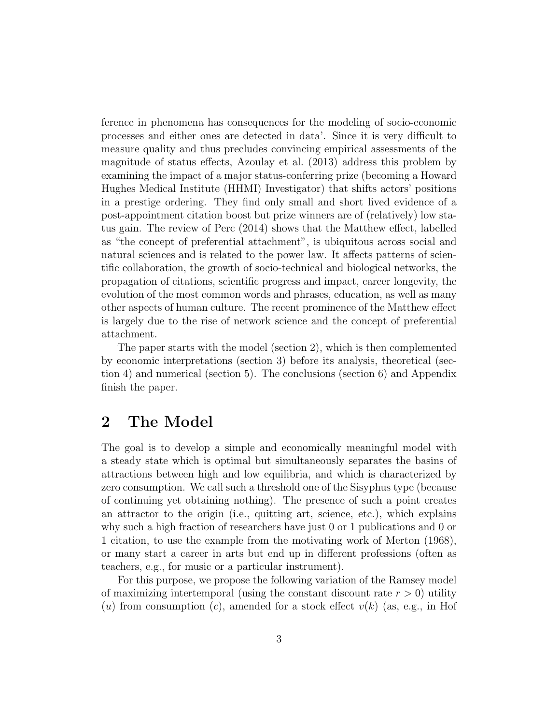ference in phenomena has consequences for the modeling of socio-economic processes and either ones are detected in data'. Since it is very difficult to measure quality and thus precludes convincing empirical assessments of the magnitude of status effects, Azoulay et al. (2013) address this problem by examining the impact of a major status-conferring prize (becoming a Howard Hughes Medical Institute (HHMI) Investigator) that shifts actors' positions in a prestige ordering. They find only small and short lived evidence of a post-appointment citation boost but prize winners are of (relatively) low status gain. The review of Perc (2014) shows that the Matthew effect, labelled as "the concept of preferential attachment", is ubiquitous across social and natural sciences and is related to the power law. It affects patterns of scientific collaboration, the growth of socio-technical and biological networks, the propagation of citations, scientific progress and impact, career longevity, the evolution of the most common words and phrases, education, as well as many other aspects of human culture. The recent prominence of the Matthew effect is largely due to the rise of network science and the concept of preferential attachment.

The paper starts with the model (section 2), which is then complemented by economic interpretations (section 3) before its analysis, theoretical (section 4) and numerical (section 5). The conclusions (section 6) and Appendix finish the paper.

## 2 The Model

The goal is to develop a simple and economically meaningful model with a steady state which is optimal but simultaneously separates the basins of attractions between high and low equilibria, and which is characterized by zero consumption. We call such a threshold one of the Sisyphus type (because of continuing yet obtaining nothing). The presence of such a point creates an attractor to the origin (i.e., quitting art, science, etc.), which explains why such a high fraction of researchers have just 0 or 1 publications and 0 or 1 citation, to use the example from the motivating work of Merton (1968), or many start a career in arts but end up in different professions (often as teachers, e.g., for music or a particular instrument).

For this purpose, we propose the following variation of the Ramsey model of maximizing intertemporal (using the constant discount rate  $r > 0$ ) utility (u) from consumption (c), amended for a stock effect  $v(k)$  (as, e.g., in Hof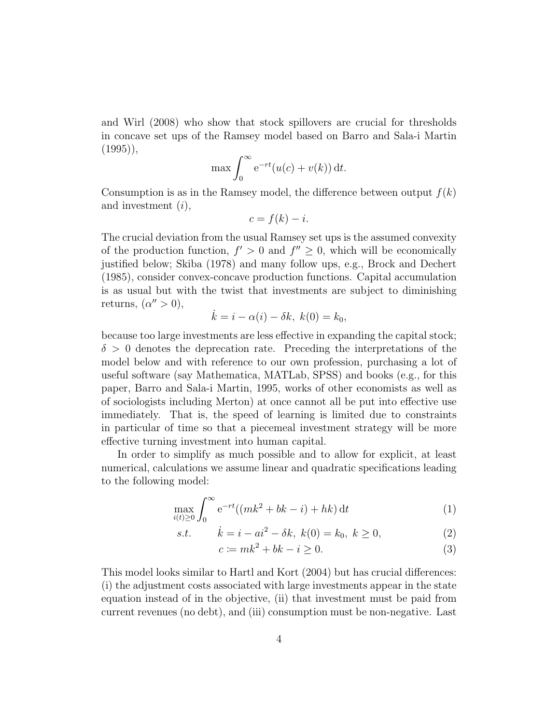and Wirl (2008) who show that stock spillovers are crucial for thresholds in concave set ups of the Ramsey model based on Barro and Sala-i Martin  $(1995)$ ,

$$
\max \int_0^\infty e^{-rt} (u(c) + v(k)) dt.
$$

Consumption is as in the Ramsey model, the difference between output  $f(k)$ and investment (i),

$$
c = f(k) - i.
$$

The crucial deviation from the usual Ramsey set ups is the assumed convexity of the production function,  $f' > 0$  and  $f'' \geq 0$ , which will be economically justified below; Skiba (1978) and many follow ups, e.g., Brock and Dechert (1985), consider convex-concave production functions. Capital accumulation is as usual but with the twist that investments are subject to diminishing returns,  $(\alpha'' > 0)$ ,

$$
\dot{k} = i - \alpha(i) - \delta k, \ k(0) = k_0,
$$

because too large investments are less effective in expanding the capital stock;  $\delta > 0$  denotes the deprecation rate. Preceding the interpretations of the model below and with reference to our own profession, purchasing a lot of useful software (say Mathematica, MATLab, SPSS) and books (e.g., for this paper, Barro and Sala-i Martin, 1995, works of other economists as well as of sociologists including Merton) at once cannot all be put into effective use immediately. That is, the speed of learning is limited due to constraints in particular of time so that a piecemeal investment strategy will be more effective turning investment into human capital.

In order to simplify as much possible and to allow for explicit, at least numerical, calculations we assume linear and quadratic specifications leading to the following model:

$$
\max_{i(t)\geq 0} \int_0^\infty e^{-rt}((mk^2 + bk - i) + hk) dt
$$
 (1)

s.t. 
$$
\dot{k} = i - ai^2 - \delta k, \ k(0) = k_0, \ k \ge 0,
$$
 (2)

$$
c \coloneqq mk^2 + bk - i \geq 0. \tag{3}
$$

This model looks similar to Hartl and Kort (2004) but has crucial differences: (i) the adjustment costs associated with large investments appear in the state equation instead of in the objective, (ii) that investment must be paid from current revenues (no debt), and (iii) consumption must be non-negative. Last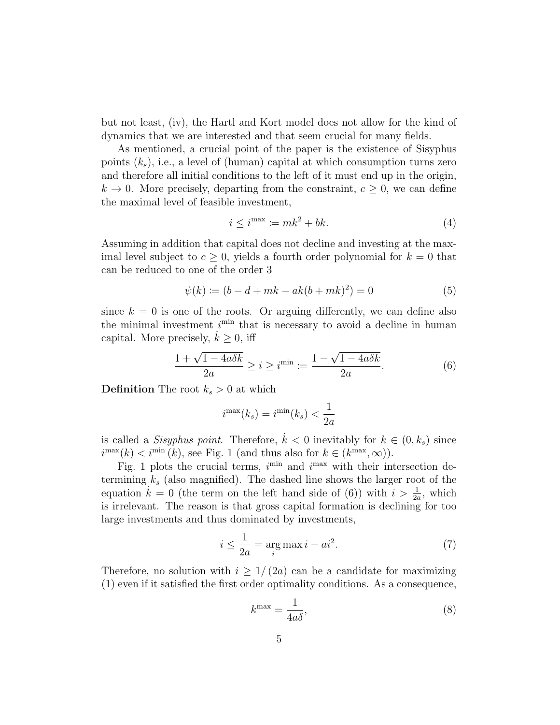but not least, (iv), the Hartl and Kort model does not allow for the kind of dynamics that we are interested and that seem crucial for many fields.

As mentioned, a crucial point of the paper is the existence of Sisyphus points  $(k<sub>s</sub>)$ , i.e., a level of (human) capital at which consumption turns zero and therefore all initial conditions to the left of it must end up in the origin,  $k \to 0$ . More precisely, departing from the constraint,  $c \geq 0$ , we can define the maximal level of feasible investment,

$$
i \le i^{\max} := mk^2 + bk. \tag{4}
$$

Assuming in addition that capital does not decline and investing at the maximal level subject to  $c \geq 0$ , yields a fourth order polynomial for  $k = 0$  that can be reduced to one of the order 3

$$
\psi(k) := (b - d + mk - ak(b + mk)^2) = 0 \tag{5}
$$

since  $k = 0$  is one of the roots. Or arguing differently, we can define also the minimal investment  $i^{\min}$  that is necessary to avoid a decline in human capital. More precisely,  $k \geq 0$ , iff

$$
\frac{1+\sqrt{1-4a\delta k}}{2a} \ge i \ge i^{\min} := \frac{1-\sqrt{1-4a\delta k}}{2a}.
$$
 (6)

**Definition** The root  $k_s > 0$  at which

$$
i^{\max}(k_s) = i^{\min}(k_s) < \frac{1}{2a}
$$

is called a Sisyphus point. Therefore,  $\dot{k} < 0$  inevitably for  $k \in (0, k_s)$  since  $i^{\max}(k) < i^{\min}(k)$ , see Fig. 1 (and thus also for  $k \in (k^{\max}, \infty)$ ).

Fig. 1 plots the crucial terms,  $i^{\min}$  and  $i^{\max}$  with their intersection determining  $k_s$  (also magnified). The dashed line shows the larger root of the equation  $\tilde{k} = 0$  (the term on the left hand side of (6)) with  $i > \frac{1}{2a}$ , which is irrelevant. The reason is that gross capital formation is declining for too large investments and thus dominated by investments,

$$
i \le \frac{1}{2a} = \underset{i}{\arg\max} \, i - ai^2. \tag{7}
$$

Therefore, no solution with  $i \geq 1/(2a)$  can be a candidate for maximizing (1) even if it satisfied the first order optimality conditions. As a consequence,

$$
k^{\max} = \frac{1}{4a\delta},\tag{8}
$$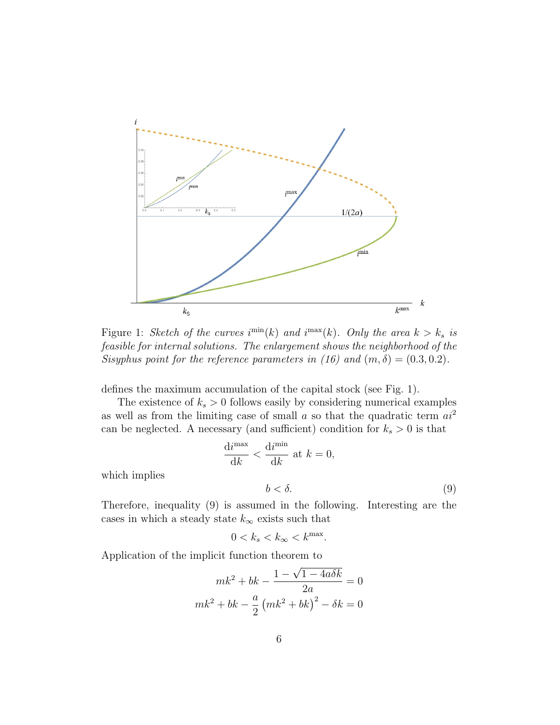

Figure 1: Sketch of the curves  $i^{\min}(k)$  and  $i^{\max}(k)$ . Only the area  $k > k_s$  is feasible for internal solutions. The enlargement shows the neighborhood of the Sisyphus point for the reference parameters in (16) and  $(m, \delta) = (0.3, 0.2)$ .

defines the maximum accumulation of the capital stock (see Fig. 1).

The existence of  $k_s > 0$  follows easily by considering numerical examples as well as from the limiting case of small  $a$  so that the quadratic term  $ai^2$ can be neglected. A necessary (and sufficient) condition for  $k_s > 0$  is that

$$
\frac{\mathrm{d}i^{\max}}{\mathrm{d}k} < \frac{\mathrm{d}i^{\min}}{\mathrm{d}k} \text{ at } k = 0,
$$

.

which implies

$$
b < \delta. \tag{9}
$$

Therefore, inequality (9) is assumed in the following. Interesting are the cases in which a steady state  $k_{\infty}$  exists such that

$$
0 < k_s < k_{\infty} < k^{\rm max}
$$

Application of the implicit function theorem to √

$$
mk^{2} + bk - \frac{1 - \sqrt{1 - 4a\delta k}}{2a} = 0
$$

$$
mk^{2} + bk - \frac{a}{2} (mk^{2} + bk)^{2} - \delta k = 0
$$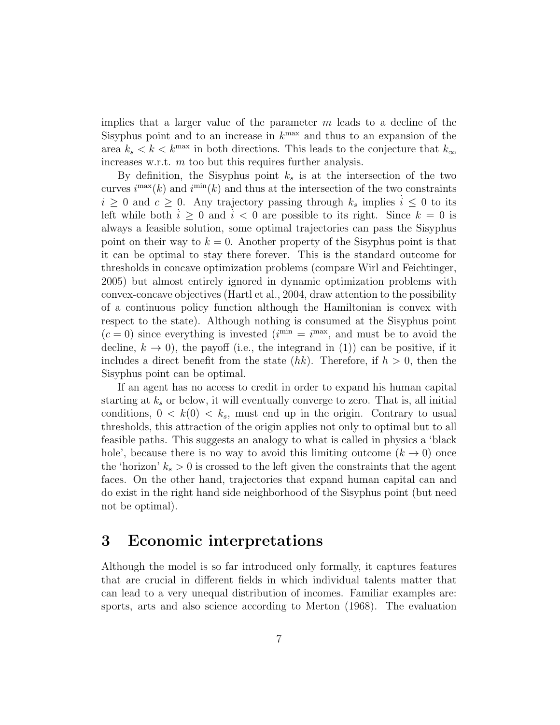implies that a larger value of the parameter  $m$  leads to a decline of the Sisyphus point and to an increase in  $k^{\text{max}}$  and thus to an expansion of the area  $k_s < k < k^{\text{max}}$  in both directions. This leads to the conjecture that  $k_{\infty}$ increases w.r.t. m too but this requires further analysis.

By definition, the Sisyphus point  $k<sub>s</sub>$  is at the intersection of the two curves  $i^{\max}(k)$  and  $i^{\min}(k)$  and thus at the intersection of the two constraints  $i \geq 0$  and  $c \geq 0$ . Any trajectory passing through  $k_s$  implies  $i \leq 0$  to its left while both  $i \geq 0$  and  $i < 0$  are possible to its right. Since  $k = 0$  is always a feasible solution, some optimal trajectories can pass the Sisyphus point on their way to  $k = 0$ . Another property of the Sisyphus point is that it can be optimal to stay there forever. This is the standard outcome for thresholds in concave optimization problems (compare Wirl and Feichtinger, 2005) but almost entirely ignored in dynamic optimization problems with convex-concave objectives (Hartl et al., 2004, draw attention to the possibility of a continuous policy function although the Hamiltonian is convex with respect to the state). Although nothing is consumed at the Sisyphus point  $(c = 0)$  since everything is invested  $(i^{min} = i^{max})$ , and must be to avoid the decline,  $k \to 0$ , the payoff (i.e., the integrand in (1)) can be positive, if it includes a direct benefit from the state  $(hk)$ . Therefore, if  $h > 0$ , then the Sisyphus point can be optimal.

If an agent has no access to credit in order to expand his human capital starting at  $k_s$  or below, it will eventually converge to zero. That is, all initial conditions,  $0 \lt k(0) \lt k_s$ , must end up in the origin. Contrary to usual thresholds, this attraction of the origin applies not only to optimal but to all feasible paths. This suggests an analogy to what is called in physics a 'black hole', because there is no way to avoid this limiting outcome  $(k \to 0)$  once the 'horizon'  $k_s > 0$  is crossed to the left given the constraints that the agent faces. On the other hand, trajectories that expand human capital can and do exist in the right hand side neighborhood of the Sisyphus point (but need not be optimal).

## 3 Economic interpretations

Although the model is so far introduced only formally, it captures features that are crucial in different fields in which individual talents matter that can lead to a very unequal distribution of incomes. Familiar examples are: sports, arts and also science according to Merton (1968). The evaluation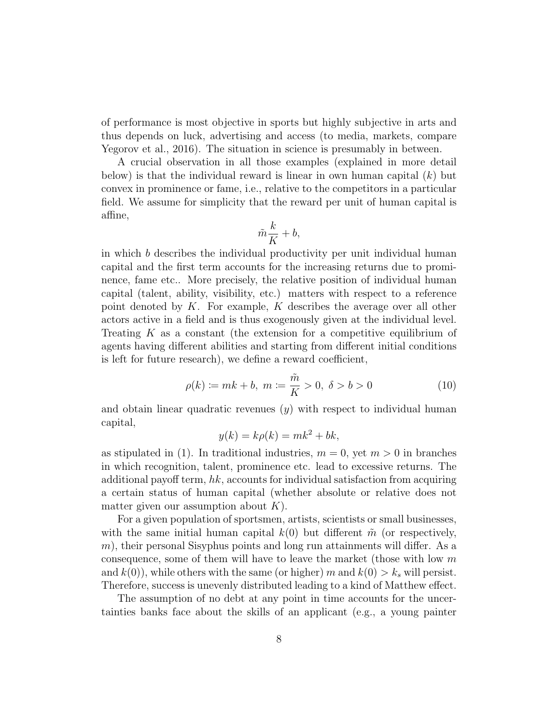of performance is most objective in sports but highly subjective in arts and thus depends on luck, advertising and access (to media, markets, compare Yegorov et al., 2016). The situation in science is presumably in between.

A crucial observation in all those examples (explained in more detail below) is that the individual reward is linear in own human capital  $(k)$  but convex in prominence or fame, i.e., relative to the competitors in a particular field. We assume for simplicity that the reward per unit of human capital is affine,

$$
\tilde{m}\frac{k}{K} + b,
$$

in which b describes the individual productivity per unit individual human capital and the first term accounts for the increasing returns due to prominence, fame etc.. More precisely, the relative position of individual human capital (talent, ability, visibility, etc.) matters with respect to a reference point denoted by  $K$ . For example,  $K$  describes the average over all other actors active in a field and is thus exogenously given at the individual level. Treating  $K$  as a constant (the extension for a competitive equilibrium of agents having different abilities and starting from different initial conditions is left for future research), we define a reward coefficient,

$$
\rho(k) := mk + b, \ m := \frac{\tilde{m}}{K} > 0, \ \delta > b > 0 \tag{10}
$$

and obtain linear quadratic revenues  $(y)$  with respect to individual human capital,

$$
y(k) = k\rho(k) = mk^2 + bk,
$$

as stipulated in (1). In traditional industries,  $m = 0$ , yet  $m > 0$  in branches in which recognition, talent, prominence etc. lead to excessive returns. The additional payoff term,  $hk$ , accounts for individual satisfaction from acquiring a certain status of human capital (whether absolute or relative does not matter given our assumption about  $K$ ).

For a given population of sportsmen, artists, scientists or small businesses, with the same initial human capital  $k(0)$  but different  $\tilde{m}$  (or respectively,  $m$ , their personal Sisyphus points and long run attainments will differ. As a consequence, some of them will have to leave the market (those with low  $m$ ) and  $k(0)$ , while others with the same (or higher) m and  $k(0) > k_s$  will persist. Therefore, success is unevenly distributed leading to a kind of Matthew effect.

The assumption of no debt at any point in time accounts for the uncertainties banks face about the skills of an applicant (e.g., a young painter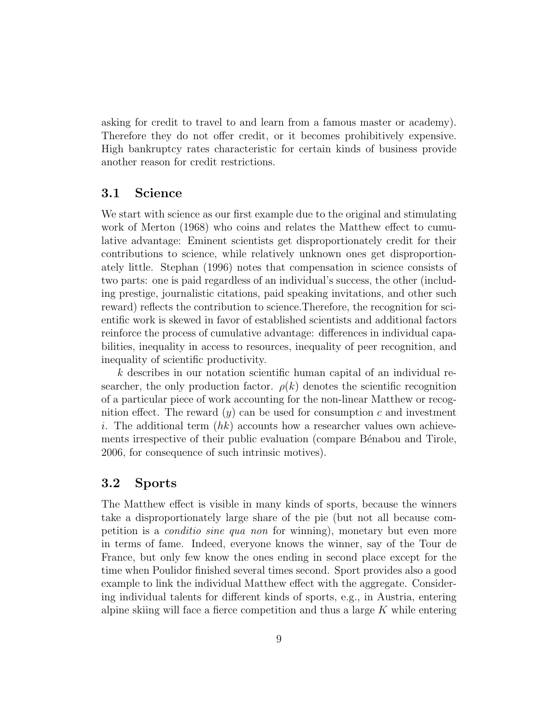asking for credit to travel to and learn from a famous master or academy). Therefore they do not offer credit, or it becomes prohibitively expensive. High bankruptcy rates characteristic for certain kinds of business provide another reason for credit restrictions.

#### 3.1 Science

We start with science as our first example due to the original and stimulating work of Merton (1968) who coins and relates the Matthew effect to cumulative advantage: Eminent scientists get disproportionately credit for their contributions to science, while relatively unknown ones get disproportionately little. Stephan (1996) notes that compensation in science consists of two parts: one is paid regardless of an individual's success, the other (including prestige, journalistic citations, paid speaking invitations, and other such reward) reflects the contribution to science.Therefore, the recognition for scientific work is skewed in favor of established scientists and additional factors reinforce the process of cumulative advantage: differences in individual capabilities, inequality in access to resources, inequality of peer recognition, and inequality of scientific productivity.

 $k$  describes in our notation scientific human capital of an individual researcher, the only production factor.  $\rho(k)$  denotes the scientific recognition of a particular piece of work accounting for the non-linear Matthew or recognition effect. The reward  $(y)$  can be used for consumption c and investment i. The additional term  $(hk)$  accounts how a researcher values own achievements irrespective of their public evaluation (compare Bénabou and Tirole, 2006, for consequence of such intrinsic motives).

#### 3.2 Sports

The Matthew effect is visible in many kinds of sports, because the winners take a disproportionately large share of the pie (but not all because competition is a conditio sine qua non for winning), monetary but even more in terms of fame. Indeed, everyone knows the winner, say of the Tour de France, but only few know the ones ending in second place except for the time when Poulidor finished several times second. Sport provides also a good example to link the individual Matthew effect with the aggregate. Considering individual talents for different kinds of sports, e.g., in Austria, entering alpine skiing will face a fierce competition and thus a large  $K$  while entering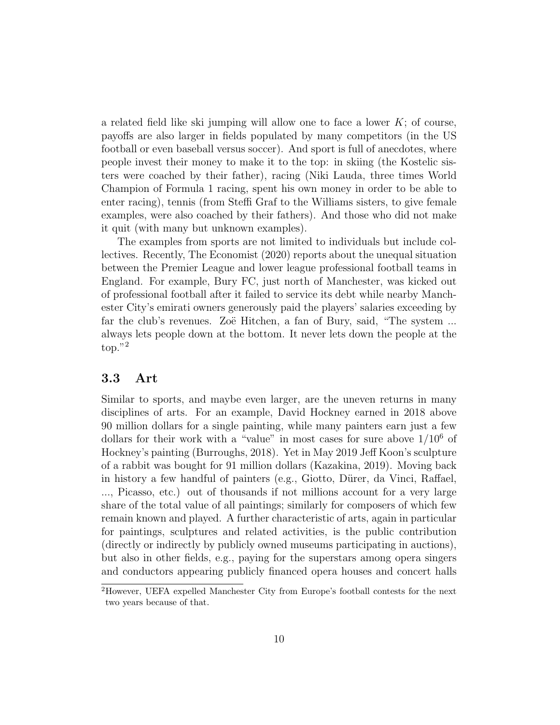a related field like ski jumping will allow one to face a lower  $K$ ; of course, payoffs are also larger in fields populated by many competitors (in the US football or even baseball versus soccer). And sport is full of anecdotes, where people invest their money to make it to the top: in skiing (the Kostelic sisters were coached by their father), racing (Niki Lauda, three times World Champion of Formula 1 racing, spent his own money in order to be able to enter racing), tennis (from Steffi Graf to the Williams sisters, to give female examples, were also coached by their fathers). And those who did not make it quit (with many but unknown examples).

The examples from sports are not limited to individuals but include collectives. Recently, The Economist (2020) reports about the unequal situation between the Premier League and lower league professional football teams in England. For example, Bury FC, just north of Manchester, was kicked out of professional football after it failed to service its debt while nearby Manchester City's emirati owners generously paid the players' salaries exceeding by far the club's revenues. Zoë Hitchen, a fan of Bury, said, "The system ... always lets people down at the bottom. It never lets down the people at the top."<sup>2</sup>

#### 3.3 Art

Similar to sports, and maybe even larger, are the uneven returns in many disciplines of arts. For an example, David Hockney earned in 2018 above 90 million dollars for a single painting, while many painters earn just a few dollars for their work with a "value" in most cases for sure above  $1/10^6$  of Hockney's painting (Burroughs, 2018). Yet in May 2019 Jeff Koon's sculpture of a rabbit was bought for 91 million dollars (Kazakina, 2019). Moving back in history a few handful of painters (e.g., Giotto, Dürer, da Vinci, Raffael, ..., Picasso, etc.) out of thousands if not millions account for a very large share of the total value of all paintings; similarly for composers of which few remain known and played. A further characteristic of arts, again in particular for paintings, sculptures and related activities, is the public contribution (directly or indirectly by publicly owned museums participating in auctions), but also in other fields, e.g., paying for the superstars among opera singers and conductors appearing publicly financed opera houses and concert halls

<sup>2</sup>However, UEFA expelled Manchester City from Europe's football contests for the next two years because of that.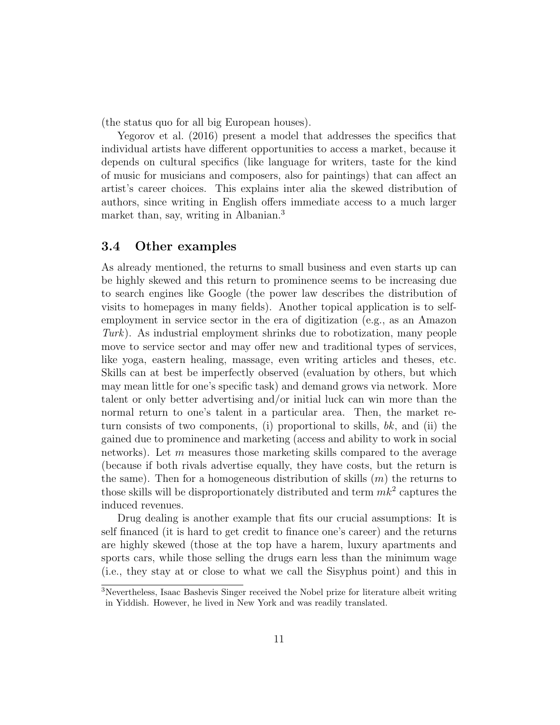(the status quo for all big European houses).

Yegorov et al. (2016) present a model that addresses the specifics that individual artists have different opportunities to access a market, because it depends on cultural specifics (like language for writers, taste for the kind of music for musicians and composers, also for paintings) that can affect an artist's career choices. This explains inter alia the skewed distribution of authors, since writing in English offers immediate access to a much larger market than, say, writing in Albanian.<sup>3</sup>

#### 3.4 Other examples

As already mentioned, the returns to small business and even starts up can be highly skewed and this return to prominence seems to be increasing due to search engines like Google (the power law describes the distribution of visits to homepages in many fields). Another topical application is to selfemployment in service sector in the era of digitization (e.g., as an Amazon Turk). As industrial employment shrinks due to robotization, many people move to service sector and may offer new and traditional types of services, like yoga, eastern healing, massage, even writing articles and theses, etc. Skills can at best be imperfectly observed (evaluation by others, but which may mean little for one's specific task) and demand grows via network. More talent or only better advertising and/or initial luck can win more than the normal return to one's talent in a particular area. Then, the market return consists of two components, (i) proportional to skills,  $bk$ , and (ii) the gained due to prominence and marketing (access and ability to work in social networks). Let  $m$  measures those marketing skills compared to the average (because if both rivals advertise equally, they have costs, but the return is the same). Then for a homogeneous distribution of skills  $(m)$  the returns to those skills will be disproportionately distributed and term  $mk^2$  captures the induced revenues.

Drug dealing is another example that fits our crucial assumptions: It is self financed (it is hard to get credit to finance one's career) and the returns are highly skewed (those at the top have a harem, luxury apartments and sports cars, while those selling the drugs earn less than the minimum wage (i.e., they stay at or close to what we call the Sisyphus point) and this in

<sup>3</sup>Nevertheless, Isaac Bashevis Singer received the Nobel prize for literature albeit writing in Yiddish. However, he lived in New York and was readily translated.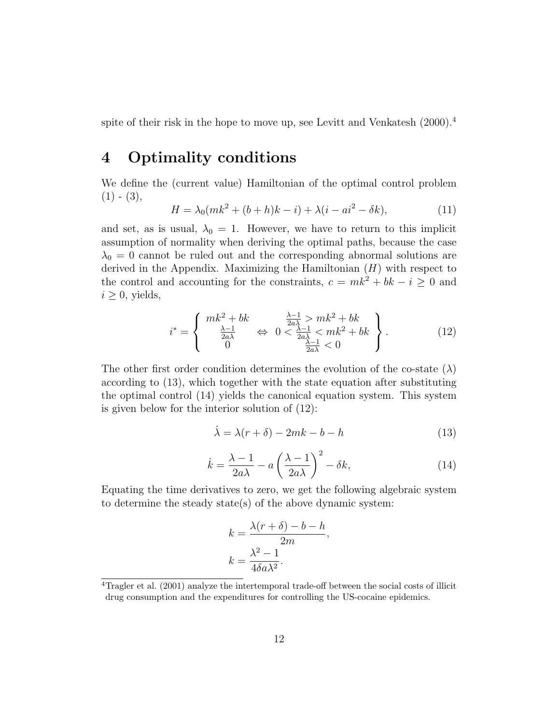spite of their risk in the hope to move up, see Levitt and Venkatesh (2000).<sup>4</sup>

## 4 Optimality conditions

We define the (current value) Hamiltonian of the optimal control problem  $(1) - (3),$ 

$$
H = \lambda_0 (mk^2 + (b+h)k - i) + \lambda (i - ai^2 - \delta k),
$$
 (11)

and set, as is usual,  $\lambda_0 = 1$ . However, we have to return to this implicit assumption of normality when deriving the optimal paths, because the case  $\lambda_0 = 0$  cannot be ruled out and the corresponding abnormal solutions are derived in the Appendix. Maximizing the Hamiltonian  $(H)$  with respect to the control and accounting for the constraints,  $c = mk^2 + bk - i \geq 0$  and  $i \geq 0$ , yields,

$$
i^* = \begin{cases} mk^2 + bk & \frac{\lambda - 1}{2a\lambda} > mk^2 + bk \\ \frac{\lambda - 1}{2a\lambda} & \Leftrightarrow 0 < \frac{\lambda - 1}{2a\lambda} < mk^2 + bk \\ 0 & \frac{\lambda - 1}{2a\lambda} < 0 \end{cases} \tag{12}
$$

The other first order condition determines the evolution of the co-state  $(\lambda)$ according to (13), which together with the state equation after substituting the optimal control (14) yields the canonical equation system. This system is given below for the interior solution of (12):

$$
\dot{\lambda} = \lambda(r+\delta) - 2mk - b - h \tag{13}
$$

$$
\dot{k} = \frac{\lambda - 1}{2a\lambda} - a\left(\frac{\lambda - 1}{2a\lambda}\right)^2 - \delta k,\tag{14}
$$

Equating the time derivatives to zero, we get the following algebraic system to determine the steady state(s) of the above dynamic system:

$$
k = \frac{\lambda(r+\delta) - b - h}{2m},
$$
  

$$
k = \frac{\lambda^2 - 1}{4\delta a \lambda^2}.
$$

<sup>4</sup>Tragler et al. (2001) analyze the intertemporal trade-off between the social costs of illicit drug consumption and the expenditures for controlling the US-cocaine epidemics.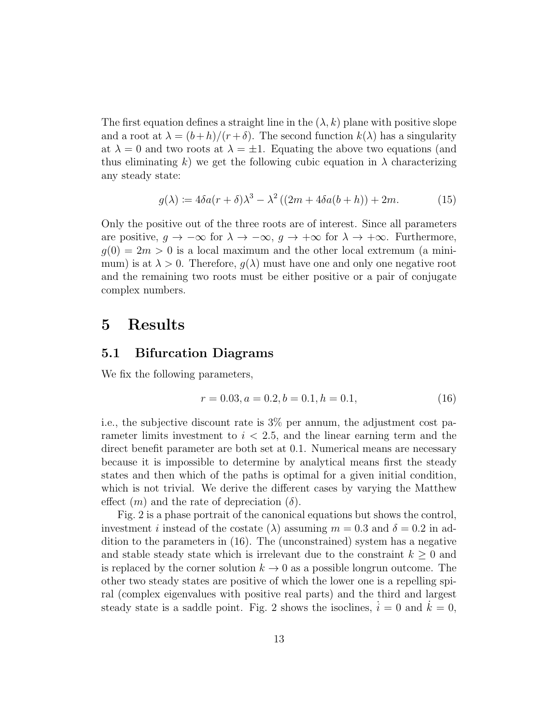The first equation defines a straight line in the  $(\lambda, k)$  plane with positive slope and a root at  $\lambda = (b+h)/(r+\delta)$ . The second function  $k(\lambda)$  has a singularity at  $\lambda = 0$  and two roots at  $\lambda = \pm 1$ . Equating the above two equations (and thus eliminating k) we get the following cubic equation in  $\lambda$  characterizing any steady state:

$$
g(\lambda) \coloneqq 4\delta a(r+\delta)\lambda^3 - \lambda^2 \left( (2m + 4\delta a(b+h)) + 2m. \right) \tag{15}
$$

Only the positive out of the three roots are of interest. Since all parameters are positive,  $q \to -\infty$  for  $\lambda \to -\infty$ ,  $q \to +\infty$  for  $\lambda \to +\infty$ . Furthermore,  $g(0) = 2m > 0$  is a local maximum and the other local extremum (a minimum) is at  $\lambda > 0$ . Therefore,  $g(\lambda)$  must have one and only one negative root and the remaining two roots must be either positive or a pair of conjugate complex numbers.

## 5 Results

#### 5.1 Bifurcation Diagrams

We fix the following parameters,

$$
r = 0.03, a = 0.2, b = 0.1, h = 0.1,
$$
\n
$$
(16)
$$

i.e., the subjective discount rate is 3% per annum, the adjustment cost parameter limits investment to  $i < 2.5$ , and the linear earning term and the direct benefit parameter are both set at 0.1. Numerical means are necessary because it is impossible to determine by analytical means first the steady states and then which of the paths is optimal for a given initial condition, which is not trivial. We derive the different cases by varying the Matthew effect  $(m)$  and the rate of depreciation  $(\delta)$ .

Fig. 2 is a phase portrait of the canonical equations but shows the control, investment *i* instead of the costate ( $\lambda$ ) assuming  $m = 0.3$  and  $\delta = 0.2$  in addition to the parameters in (16). The (unconstrained) system has a negative and stable steady state which is irrelevant due to the constraint  $k \geq 0$  and is replaced by the corner solution  $k \to 0$  as a possible longrun outcome. The other two steady states are positive of which the lower one is a repelling spiral (complex eigenvalues with positive real parts) and the third and largest steady state is a saddle point. Fig. 2 shows the isoclines,  $i = 0$  and  $\dot{k} = 0$ ,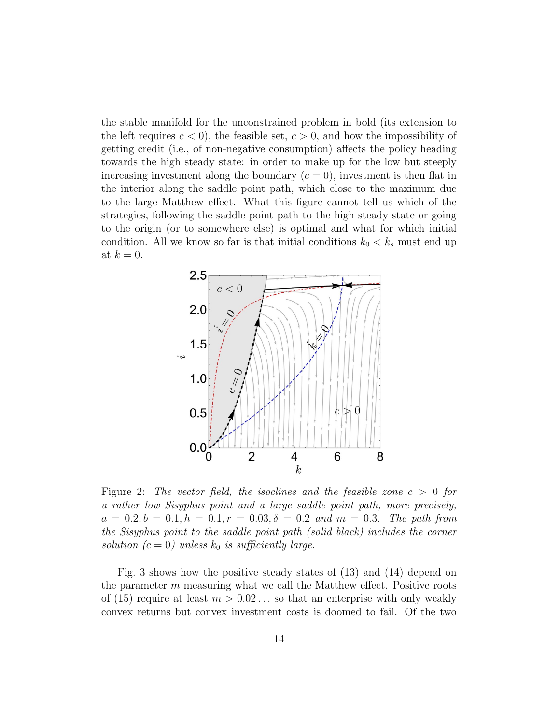the stable manifold for the unconstrained problem in bold (its extension to the left requires  $c < 0$ , the feasible set,  $c > 0$ , and how the impossibility of getting credit (i.e., of non-negative consumption) affects the policy heading towards the high steady state: in order to make up for the low but steeply increasing investment along the boundary  $(c = 0)$ , investment is then flat in the interior along the saddle point path, which close to the maximum due to the large Matthew effect. What this figure cannot tell us which of the strategies, following the saddle point path to the high steady state or going to the origin (or to somewhere else) is optimal and what for which initial condition. All we know so far is that initial conditions  $k_0 < k_s$  must end up at  $k = 0$ .



Figure 2: The vector field, the isoclines and the feasible zone  $c > 0$  for a rather low Sisyphus point and a large saddle point path, more precisely,  $a = 0.2, b = 0.1, h = 0.1, r = 0.03, \delta = 0.2$  and  $m = 0.3$ . The path from the Sisyphus point to the saddle point path (solid black) includes the corner solution ( $c = 0$ ) unless  $k_0$  is sufficiently large.

Fig. 3 shows how the positive steady states of (13) and (14) depend on the parameter  $m$  measuring what we call the Matthew effect. Positive roots of (15) require at least  $m > 0.02...$  so that an enterprise with only weakly convex returns but convex investment costs is doomed to fail. Of the two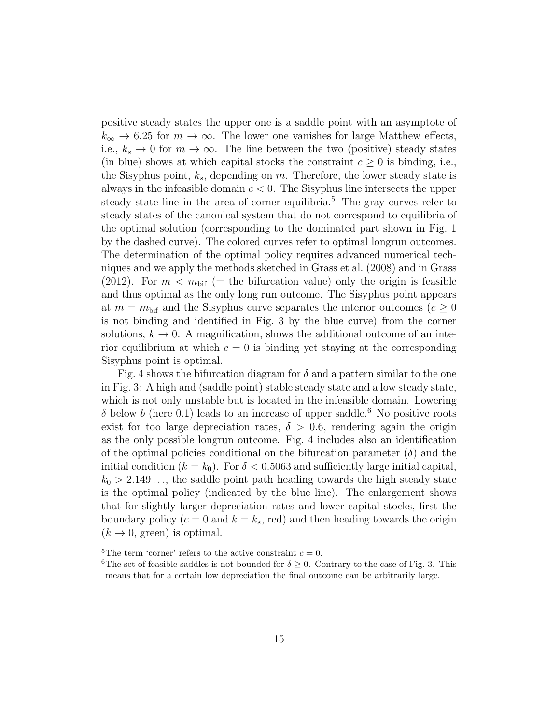positive steady states the upper one is a saddle point with an asymptote of  $k_{\infty} \rightarrow 6.25$  for  $m \rightarrow \infty$ . The lower one vanishes for large Matthew effects, i.e.,  $k_s \to 0$  for  $m \to \infty$ . The line between the two (positive) steady states (in blue) shows at which capital stocks the constraint  $c \geq 0$  is binding, i.e., the Sisyphus point,  $k_s$ , depending on m. Therefore, the lower steady state is always in the infeasible domain  $c < 0$ . The Sisyphus line intersects the upper steady state line in the area of corner equilibria.<sup>5</sup> The gray curves refer to steady states of the canonical system that do not correspond to equilibria of the optimal solution (corresponding to the dominated part shown in Fig. 1 by the dashed curve). The colored curves refer to optimal longrun outcomes. The determination of the optimal policy requires advanced numerical techniques and we apply the methods sketched in Grass et al. (2008) and in Grass (2012). For  $m < m_{\text{bif}}$  (= the bifurcation value) only the origin is feasible and thus optimal as the only long run outcome. The Sisyphus point appears at  $m = m_{\text{bif}}$  and the Sisyphus curve separates the interior outcomes  $(c \geq 0)$ is not binding and identified in Fig. 3 by the blue curve) from the corner solutions,  $k \to 0$ . A magnification, shows the additional outcome of an interior equilibrium at which  $c = 0$  is binding yet staying at the corresponding Sisyphus point is optimal.

Fig. 4 shows the bifurcation diagram for  $\delta$  and a pattern similar to the one in Fig. 3: A high and (saddle point) stable steady state and a low steady state, which is not only unstable but is located in the infeasible domain. Lowering  $\delta$  below b (here 0.1) leads to an increase of upper saddle.<sup>6</sup> No positive roots exist for too large depreciation rates,  $\delta > 0.6$ , rendering again the origin as the only possible longrun outcome. Fig. 4 includes also an identification of the optimal policies conditional on the bifurcation parameter  $(\delta)$  and the initial condition  $(k = k_0)$ . For  $\delta < 0.5063$  and sufficiently large initial capital,  $k_0 > 2.149...$ , the saddle point path heading towards the high steady state is the optimal policy (indicated by the blue line). The enlargement shows that for slightly larger depreciation rates and lower capital stocks, first the boundary policy ( $c = 0$  and  $k = k_s$ , red) and then heading towards the origin  $(k \rightarrow 0, \text{ green})$  is optimal.

<sup>&</sup>lt;sup>5</sup>The term 'corner' refers to the active constraint  $c = 0$ .

<sup>&</sup>lt;sup>6</sup>The set of feasible saddles is not bounded for  $\delta \geq 0$ . Contrary to the case of Fig. 3. This means that for a certain low depreciation the final outcome can be arbitrarily large.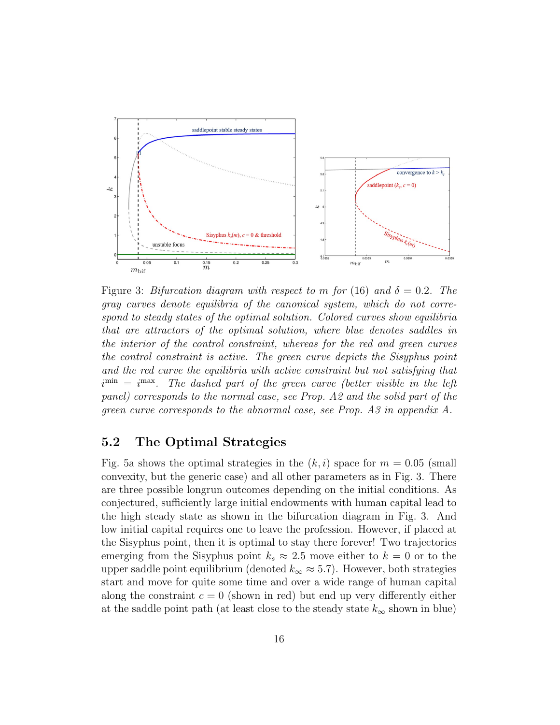

Figure 3: Bifurcation diagram with respect to m for (16) and  $\delta = 0.2$ . The gray curves denote equilibria of the canonical system, which do not correspond to steady states of the optimal solution. Colored curves show equilibria that are attractors of the optimal solution, where blue denotes saddles in the interior of the control constraint, whereas for the red and green curves the control constraint is active. The green curve depicts the Sisyphus point and the red curve the equilibria with active constraint but not satisfying that  $i^{\min} = i^{\max}$ . The dashed part of the green curve (better visible in the left panel) corresponds to the normal case, see Prop. A2 and the solid part of the green curve corresponds to the abnormal case, see Prop. A3 in appendix A.

#### 5.2 The Optimal Strategies

Fig. 5a shows the optimal strategies in the  $(k, i)$  space for  $m = 0.05$  (small convexity, but the generic case) and all other parameters as in Fig. 3. There are three possible longrun outcomes depending on the initial conditions. As conjectured, sufficiently large initial endowments with human capital lead to the high steady state as shown in the bifurcation diagram in Fig. 3. And low initial capital requires one to leave the profession. However, if placed at the Sisyphus point, then it is optimal to stay there forever! Two trajectories emerging from the Sisyphus point  $k_s \approx 2.5$  move either to  $k = 0$  or to the upper saddle point equilibrium (denoted  $k_{\infty} \approx 5.7$ ). However, both strategies start and move for quite some time and over a wide range of human capital along the constraint  $c = 0$  (shown in red) but end up very differently either at the saddle point path (at least close to the steady state  $k_{\infty}$  shown in blue)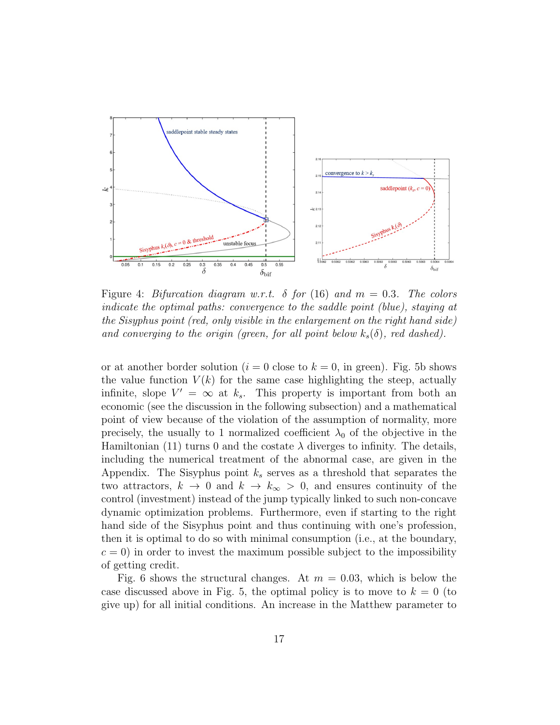

Figure 4: Bifurcation diagram w.r.t.  $\delta$  for (16) and  $m = 0.3$ . The colors indicate the optimal paths: convergence to the saddle point (blue), staying at the Sisyphus point (red, only visible in the enlargement on the right hand side) and converging to the origin (green, for all point below  $k_s(\delta)$ , red dashed).

or at another border solution ( $i = 0$  close to  $k = 0$ , in green). Fig. 5b shows the value function  $V(k)$  for the same case highlighting the steep, actually infinite, slope  $V' = \infty$  at  $k_s$ . This property is important from both an economic (see the discussion in the following subsection) and a mathematical point of view because of the violation of the assumption of normality, more precisely, the usually to 1 normalized coefficient  $\lambda_0$  of the objective in the Hamiltonian (11) turns 0 and the costate  $\lambda$  diverges to infinity. The details, including the numerical treatment of the abnormal case, are given in the Appendix. The Sisyphus point  $k<sub>s</sub>$  serves as a threshold that separates the two attractors,  $k \to 0$  and  $k \to k_{\infty} > 0$ , and ensures continuity of the control (investment) instead of the jump typically linked to such non-concave dynamic optimization problems. Furthermore, even if starting to the right hand side of the Sisyphus point and thus continuing with one's profession, then it is optimal to do so with minimal consumption (i.e., at the boundary,  $c = 0$ ) in order to invest the maximum possible subject to the impossibility of getting credit.

Fig. 6 shows the structural changes. At  $m = 0.03$ , which is below the case discussed above in Fig. 5, the optimal policy is to move to  $k = 0$  (to give up) for all initial conditions. An increase in the Matthew parameter to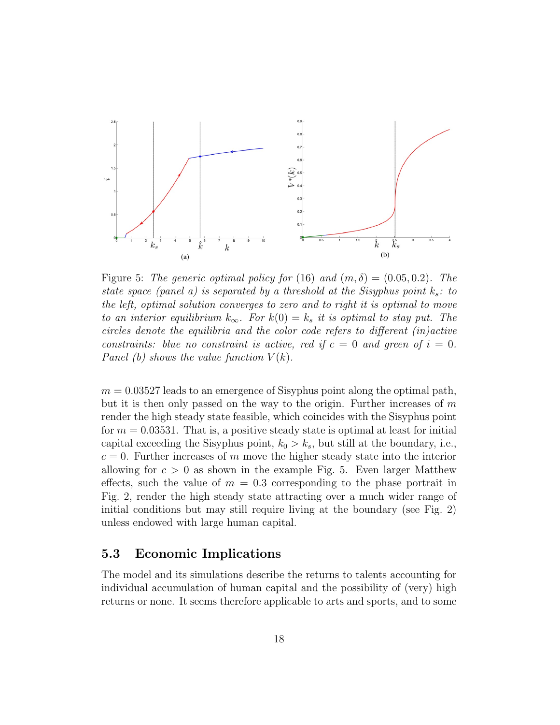

Figure 5: The generic optimal policy for (16) and  $(m, \delta) = (0.05, 0.2)$ . The state space (panel a) is separated by a threshold at the Sisyphus point  $k_s$ : to the left, optimal solution converges to zero and to right it is optimal to move to an interior equilibrium  $k_{\infty}$ . For  $k(0) = k_s$  it is optimal to stay put. The circles denote the equilibria and the color code refers to different (in)active constraints: blue no constraint is active, red if  $c = 0$  and green of  $i = 0$ . Panel (b) shows the value function  $V(k)$ .

 $m = 0.03527$  leads to an emergence of Sisyphus point along the optimal path, but it is then only passed on the way to the origin. Further increases of  $m$ render the high steady state feasible, which coincides with the Sisyphus point for  $m = 0.03531$ . That is, a positive steady state is optimal at least for initial capital exceeding the Sisyphus point,  $k_0 > k_s$ , but still at the boundary, i.e.,  $c = 0$ . Further increases of m move the higher steady state into the interior allowing for  $c > 0$  as shown in the example Fig. 5. Even larger Matthew effects, such the value of  $m = 0.3$  corresponding to the phase portrait in Fig. 2, render the high steady state attracting over a much wider range of initial conditions but may still require living at the boundary (see Fig. 2) unless endowed with large human capital.

#### 5.3 Economic Implications

The model and its simulations describe the returns to talents accounting for individual accumulation of human capital and the possibility of (very) high returns or none. It seems therefore applicable to arts and sports, and to some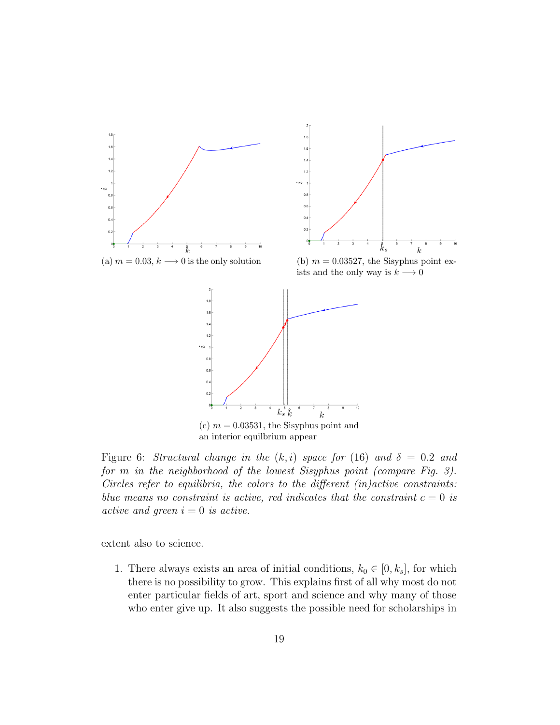

Figure 6: Structural change in the  $(k, i)$  space for (16) and  $\delta = 0.2$  and for m in the neighborhood of the lowest Sisyphus point (compare Fig. 3). Circles refer to equilibria, the colors to the different  $(in) active$  constraints: blue means no constraint is active, red indicates that the constraint  $c = 0$  is active and green  $i = 0$  is active.

extent also to science.

1. There always exists an area of initial conditions,  $k_0 \in [0, k_s]$ , for which there is no possibility to grow. This explains first of all why most do not enter particular fields of art, sport and science and why many of those who enter give up. It also suggests the possible need for scholarships in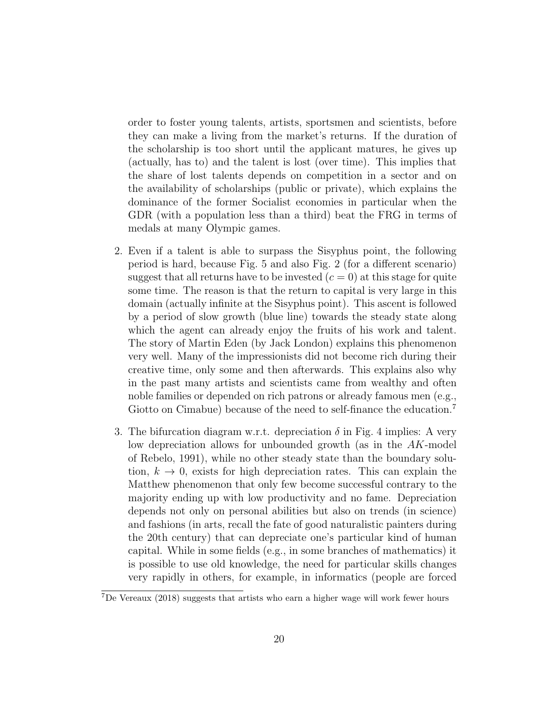order to foster young talents, artists, sportsmen and scientists, before they can make a living from the market's returns. If the duration of the scholarship is too short until the applicant matures, he gives up (actually, has to) and the talent is lost (over time). This implies that the share of lost talents depends on competition in a sector and on the availability of scholarships (public or private), which explains the dominance of the former Socialist economies in particular when the GDR (with a population less than a third) beat the FRG in terms of medals at many Olympic games.

- 2. Even if a talent is able to surpass the Sisyphus point, the following period is hard, because Fig. 5 and also Fig. 2 (for a different scenario) suggest that all returns have to be invested  $(c = 0)$  at this stage for quite some time. The reason is that the return to capital is very large in this domain (actually infinite at the Sisyphus point). This ascent is followed by a period of slow growth (blue line) towards the steady state along which the agent can already enjoy the fruits of his work and talent. The story of Martin Eden (by Jack London) explains this phenomenon very well. Many of the impressionists did not become rich during their creative time, only some and then afterwards. This explains also why in the past many artists and scientists came from wealthy and often noble families or depended on rich patrons or already famous men (e.g., Giotto on Cimabue) because of the need to self-finance the education.<sup>7</sup>
- 3. The bifurcation diagram w.r.t. depreciation  $\delta$  in Fig. 4 implies: A very low depreciation allows for unbounded growth (as in the AK-model of Rebelo, 1991), while no other steady state than the boundary solution,  $k \to 0$ , exists for high depreciation rates. This can explain the Matthew phenomenon that only few become successful contrary to the majority ending up with low productivity and no fame. Depreciation depends not only on personal abilities but also on trends (in science) and fashions (in arts, recall the fate of good naturalistic painters during the 20th century) that can depreciate one's particular kind of human capital. While in some fields (e.g., in some branches of mathematics) it is possible to use old knowledge, the need for particular skills changes very rapidly in others, for example, in informatics (people are forced

<sup>7</sup>De Vereaux (2018) suggests that artists who earn a higher wage will work fewer hours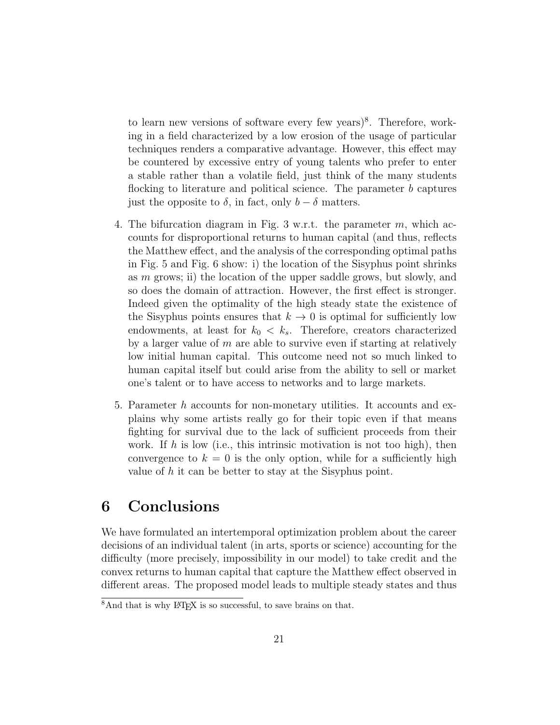to learn new versions of software every few years)<sup>8</sup>. Therefore, working in a field characterized by a low erosion of the usage of particular techniques renders a comparative advantage. However, this effect may be countered by excessive entry of young talents who prefer to enter a stable rather than a volatile field, just think of the many students flocking to literature and political science. The parameter b captures just the opposite to  $\delta$ , in fact, only  $b - \delta$  matters.

- 4. The bifurcation diagram in Fig. 3 w.r.t. the parameter  $m$ , which accounts for disproportional returns to human capital (and thus, reflects the Matthew effect, and the analysis of the corresponding optimal paths in Fig. 5 and Fig. 6 show: i) the location of the Sisyphus point shrinks as  $m$  grows; ii) the location of the upper saddle grows, but slowly, and so does the domain of attraction. However, the first effect is stronger. Indeed given the optimality of the high steady state the existence of the Sisyphus points ensures that  $k \to 0$  is optimal for sufficiently low endowments, at least for  $k_0 < k_s$ . Therefore, creators characterized by a larger value of  $m$  are able to survive even if starting at relatively low initial human capital. This outcome need not so much linked to human capital itself but could arise from the ability to sell or market one's talent or to have access to networks and to large markets.
- 5. Parameter h accounts for non-monetary utilities. It accounts and explains why some artists really go for their topic even if that means fighting for survival due to the lack of sufficient proceeds from their work. If  $h$  is low (i.e., this intrinsic motivation is not too high), then convergence to  $k = 0$  is the only option, while for a sufficiently high value of  $h$  it can be better to stay at the Sisyphus point.

## 6 Conclusions

We have formulated an intertemporal optimization problem about the career decisions of an individual talent (in arts, sports or science) accounting for the difficulty (more precisely, impossibility in our model) to take credit and the convex returns to human capital that capture the Matthew effect observed in different areas. The proposed model leads to multiple steady states and thus

 $8$ And that is why IAT<sub>E</sub>X is so successful, to save brains on that.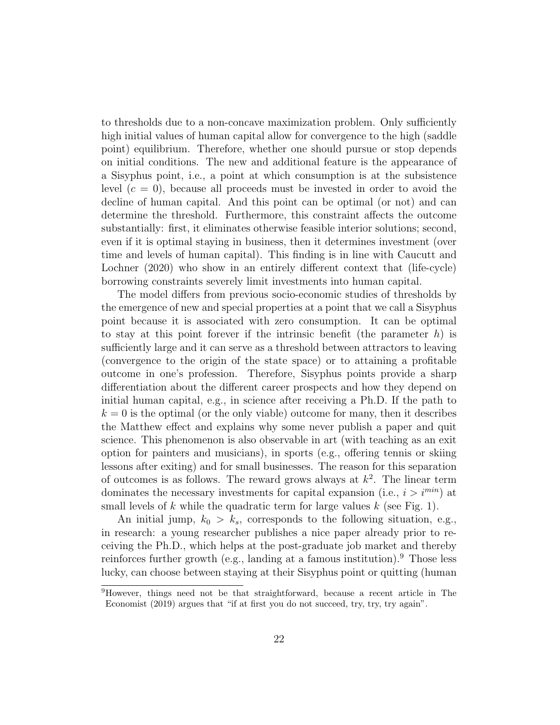to thresholds due to a non-concave maximization problem. Only sufficiently high initial values of human capital allow for convergence to the high (saddle point) equilibrium. Therefore, whether one should pursue or stop depends on initial conditions. The new and additional feature is the appearance of a Sisyphus point, i.e., a point at which consumption is at the subsistence level  $(c = 0)$ , because all proceeds must be invested in order to avoid the decline of human capital. And this point can be optimal (or not) and can determine the threshold. Furthermore, this constraint affects the outcome substantially: first, it eliminates otherwise feasible interior solutions; second, even if it is optimal staying in business, then it determines investment (over time and levels of human capital). This finding is in line with Caucutt and Lochner (2020) who show in an entirely different context that (life-cycle) borrowing constraints severely limit investments into human capital.

The model differs from previous socio-economic studies of thresholds by the emergence of new and special properties at a point that we call a Sisyphus point because it is associated with zero consumption. It can be optimal to stay at this point forever if the intrinsic benefit (the parameter  $h$ ) is sufficiently large and it can serve as a threshold between attractors to leaving (convergence to the origin of the state space) or to attaining a profitable outcome in one's profession. Therefore, Sisyphus points provide a sharp differentiation about the different career prospects and how they depend on initial human capital, e.g., in science after receiving a Ph.D. If the path to  $k = 0$  is the optimal (or the only viable) outcome for many, then it describes the Matthew effect and explains why some never publish a paper and quit science. This phenomenon is also observable in art (with teaching as an exit option for painters and musicians), in sports (e.g., offering tennis or skiing lessons after exiting) and for small businesses. The reason for this separation of outcomes is as follows. The reward grows always at  $k^2$ . The linear term dominates the necessary investments for capital expansion (i.e.,  $i > i^{min}$ ) at small levels of k while the quadratic term for large values  $k$  (see Fig. 1).

An initial jump,  $k_0 > k_s$ , corresponds to the following situation, e.g., in research: a young researcher publishes a nice paper already prior to receiving the Ph.D., which helps at the post-graduate job market and thereby reinforces further growth (e.g., landing at a famous institution). <sup>9</sup> Those less lucky, can choose between staying at their Sisyphus point or quitting (human

<sup>9</sup>However, things need not be that straightforward, because a recent article in The Economist (2019) argues that "if at first you do not succeed, try, try, try again".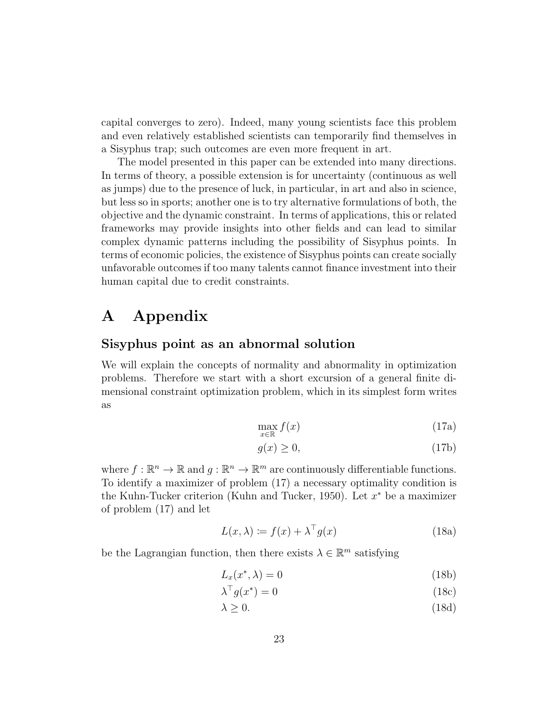capital converges to zero). Indeed, many young scientists face this problem and even relatively established scientists can temporarily find themselves in a Sisyphus trap; such outcomes are even more frequent in art.

The model presented in this paper can be extended into many directions. In terms of theory, a possible extension is for uncertainty (continuous as well as jumps) due to the presence of luck, in particular, in art and also in science, but less so in sports; another one is to try alternative formulations of both, the objective and the dynamic constraint. In terms of applications, this or related frameworks may provide insights into other fields and can lead to similar complex dynamic patterns including the possibility of Sisyphus points. In terms of economic policies, the existence of Sisyphus points can create socially unfavorable outcomes if too many talents cannot finance investment into their human capital due to credit constraints.

## A Appendix

#### Sisyphus point as an abnormal solution

We will explain the concepts of normality and abnormality in optimization problems. Therefore we start with a short excursion of a general finite dimensional constraint optimization problem, which in its simplest form writes as

$$
\max_{x \in \mathbb{R}} f(x) \tag{17a}
$$

$$
g(x) \ge 0,\tag{17b}
$$

where  $f : \mathbb{R}^n \to \mathbb{R}$  and  $g : \mathbb{R}^n \to \mathbb{R}^m$  are continuously differentiable functions. To identify a maximizer of problem (17) a necessary optimality condition is the Kuhn-Tucker criterion (Kuhn and Tucker, 1950). Let  $x^*$  be a maximizer of problem (17) and let

$$
L(x, \lambda) \coloneqq f(x) + \lambda^{\top} g(x) \tag{18a}
$$

be the Lagrangian function, then there exists  $\lambda \in \mathbb{R}^m$  satisfying

$$
L_x(x^*, \lambda) = 0 \tag{18b}
$$

$$
\lambda^{\top} g(x^*) = 0 \tag{18c}
$$

 $\lambda \geq 0.$  (18d)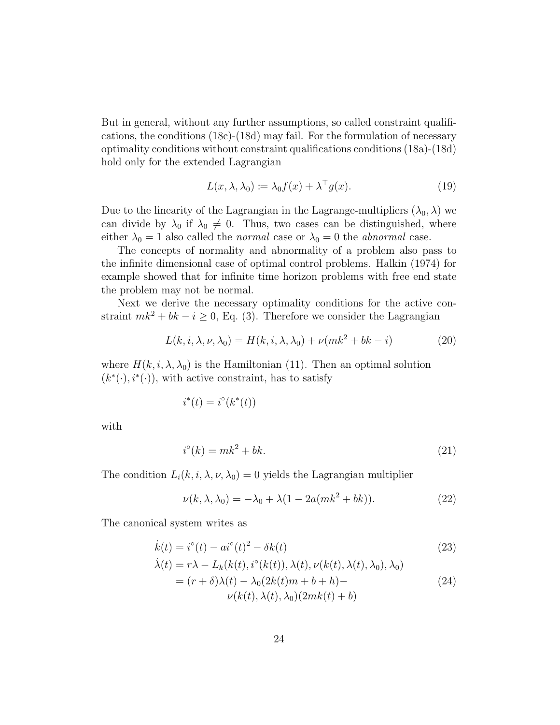But in general, without any further assumptions, so called constraint qualifications, the conditions (18c)-(18d) may fail. For the formulation of necessary optimality conditions without constraint qualifications conditions (18a)-(18d) hold only for the extended Lagrangian

$$
L(x, \lambda, \lambda_0) \coloneqq \lambda_0 f(x) + \lambda^\top g(x). \tag{19}
$$

Due to the linearity of the Lagrangian in the Lagrange-multipliers  $(\lambda_0, \lambda)$  we can divide by  $\lambda_0$  if  $\lambda_0 \neq 0$ . Thus, two cases can be distinguished, where either  $\lambda_0 = 1$  also called the *normal* case or  $\lambda_0 = 0$  the *abnormal* case.

The concepts of normality and abnormality of a problem also pass to the infinite dimensional case of optimal control problems. Halkin (1974) for example showed that for infinite time horizon problems with free end state the problem may not be normal.

Next we derive the necessary optimality conditions for the active constraint  $mk^2 + bk - i \geq 0$ , Eq. (3). Therefore we consider the Lagrangian

$$
L(k, i, \lambda, \nu, \lambda_0) = H(k, i, \lambda, \lambda_0) + \nu(mk^2 + bk - i)
$$
 (20)

where  $H(k, i, \lambda, \lambda_0)$  is the Hamiltonian (11). Then an optimal solution  $(k^*(\cdot), i^*(\cdot))$ , with active constraint, has to satisfy

$$
i^*(t) = i^\circ(k^*(t))
$$

with

$$
i^{\circ}(k) = mk^2 + bk.
$$
\n<sup>(21)</sup>

The condition  $L_i(k, i, \lambda, \nu, \lambda_0) = 0$  yields the Lagrangian multiplier

$$
\nu(k, \lambda, \lambda_0) = -\lambda_0 + \lambda(1 - 2a(mk^2 + bk)).
$$
\n(22)

The canonical system writes as

$$
\dot{k}(t) = i^{\circ}(t) - ai^{\circ}(t)^{2} - \delta k(t)
$$
\n(23)

$$
\dot{\lambda}(t) = r\lambda - L_k(k(t), i^{\circ}(k(t)), \lambda(t), \nu(k(t), \lambda(t), \lambda_0), \lambda_0)
$$
  
= 
$$
(r + \delta)\lambda(t) - \lambda_0(2k(t)m + b + h) - \nu(k(t), \lambda(t), \lambda_0)(2mk(t) + b)
$$
 (24)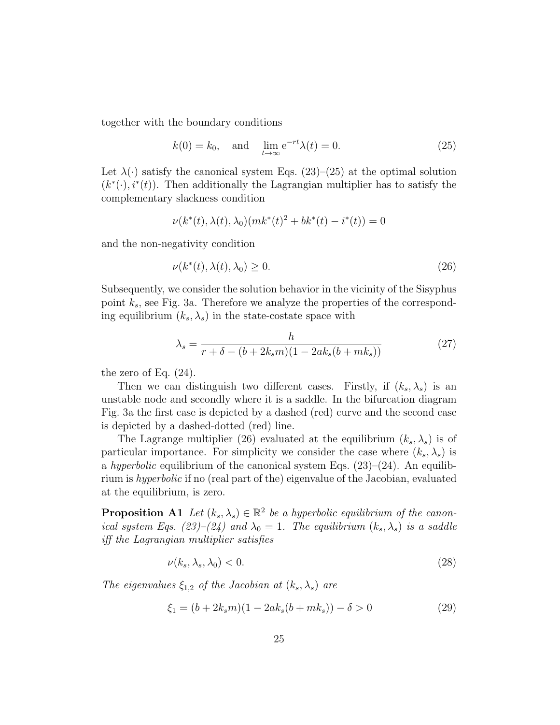together with the boundary conditions

$$
k(0) = k_0, \quad \text{and} \quad \lim_{t \to \infty} e^{-rt} \lambda(t) = 0. \tag{25}
$$

Let  $\lambda(\cdot)$  satisfy the canonical system Eqs. (23)–(25) at the optimal solution  $(k^*(\cdot), i^*(t))$ . Then additionally the Lagrangian multiplier has to satisfy the complementary slackness condition

$$
\nu(k^*(t),\lambda(t),\lambda_0)(mk^*(t)^2+bk^*(t)-i^*(t))=0
$$

and the non-negativity condition

$$
\nu(k^*(t), \lambda(t), \lambda_0) \ge 0. \tag{26}
$$

Subsequently, we consider the solution behavior in the vicinity of the Sisyphus point  $k_s$ , see Fig. 3a. Therefore we analyze the properties of the corresponding equilibrium  $(k_s, \lambda_s)$  in the state-costate space with

$$
\lambda_s = \frac{h}{r + \delta - (b + 2k_s m)(1 - 2ak_s(b + mk_s))}
$$
(27)

the zero of Eq.  $(24)$ .

Then we can distinguish two different cases. Firstly, if  $(k_s, \lambda_s)$  is an unstable node and secondly where it is a saddle. In the bifurcation diagram Fig. 3a the first case is depicted by a dashed (red) curve and the second case is depicted by a dashed-dotted (red) line.

The Lagrange multiplier (26) evaluated at the equilibrium  $(k_s, \lambda_s)$  is of particular importance. For simplicity we consider the case where  $(k_s, \lambda_s)$  is a hyperbolic equilibrium of the canonical system Eqs.  $(23)-(24)$ . An equilibrium is hyperbolic if no (real part of the) eigenvalue of the Jacobian, evaluated at the equilibrium, is zero.

**Proposition A1** Let  $(k_s, \lambda_s) \in \mathbb{R}^2$  be a hyperbolic equilibrium of the canonical system Eqs. (23)–(24) and  $\lambda_0 = 1$ . The equilibrium  $(k_s, \lambda_s)$  is a saddle iff the Lagrangian multiplier satisfies

$$
\nu(k_s, \lambda_s, \lambda_0) < 0. \tag{28}
$$

The eigenvalues  $\xi_{1,2}$  of the Jacobian at  $(k_s, \lambda_s)$  are

$$
\xi_1 = (b + 2k_s m)(1 - 2ak_s(b + mk_s)) - \delta > 0 \tag{29}
$$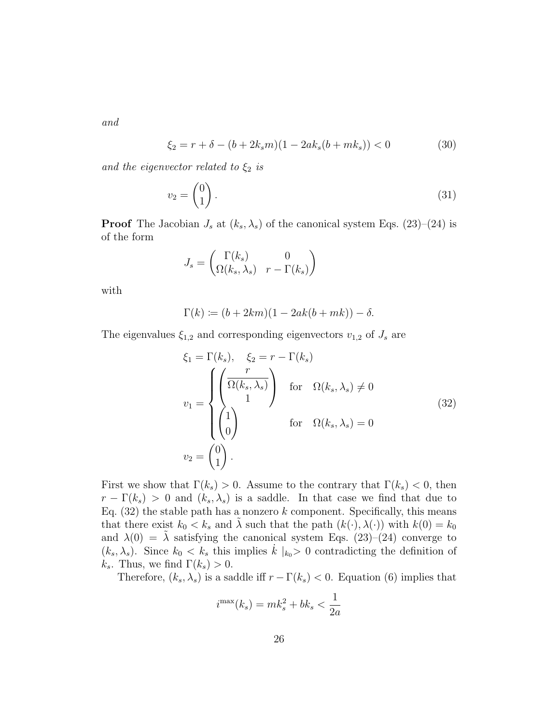and

$$
\xi_2 = r + \delta - (b + 2k_s m)(1 - 2ak_s(b + mk_s)) < 0 \tag{30}
$$

and the eigenvector related to  $\xi_2$  is

$$
v_2 = \begin{pmatrix} 0 \\ 1 \end{pmatrix} . \tag{31}
$$

**Proof** The Jacobian  $J_s$  at  $(k_s, \lambda_s)$  of the canonical system Eqs. (23)–(24) is of the form

$$
J_s = \begin{pmatrix} \Gamma(k_s) & 0\\ \Omega(k_s, \lambda_s) & r - \Gamma(k_s) \end{pmatrix}
$$

with

$$
\Gamma(k) \coloneqq (b + 2km)(1 - 2ak(b + mk)) - \delta.
$$

The eigenvalues  $\xi_{1,2}$  and corresponding eigenvectors  $v_{1,2}$  of  $J_s$  are

$$
\xi_1 = \Gamma(k_s), \quad \xi_2 = r - \Gamma(k_s)
$$
\n
$$
v_1 = \begin{cases}\n\left(\frac{r}{\Omega(k_s, \lambda_s)}\right) & \text{for } \Omega(k_s, \lambda_s) \neq 0 \\
1 & \text{for } \Omega(k_s, \lambda_s) = 0 \\
0 & \text{for } \Omega(k_s, \lambda_s) = 0\n\end{cases}
$$
\n
$$
v_2 = \begin{pmatrix} 0 \\ 1 \end{pmatrix}.
$$
\n(32)

First we show that  $\Gamma(k_s) > 0$ . Assume to the contrary that  $\Gamma(k_s) < 0$ , then  $r - \Gamma(k_s) > 0$  and  $(k_s, \lambda_s)$  is a saddle. In that case we find that due to Eq.  $(32)$  the stable path has a nonzero k component. Specifically, this means that there exist  $k_0 < k_s$  and  $\tilde{\lambda}$  such that the path  $(k(\cdot), \lambda(\cdot))$  with  $k(0) = k_0$ and  $\lambda(0) = \tilde{\lambda}$  satisfying the canonical system Eqs. (23)–(24) converge to  $(k_s, \lambda_s)$ . Since  $k_0 < k_s$  this implies  $\dot{k} |_{k_0} > 0$  contradicting the definition of  $k_s$ . Thus, we find  $\Gamma(k_s) > 0$ .

Therefore,  $(k_s, \lambda_s)$  is a saddle iff  $r - \Gamma(k_s) < 0$ . Equation (6) implies that

$$
i^{\max}(k_s) = mk_s^2 + bk_s < \frac{1}{2a}
$$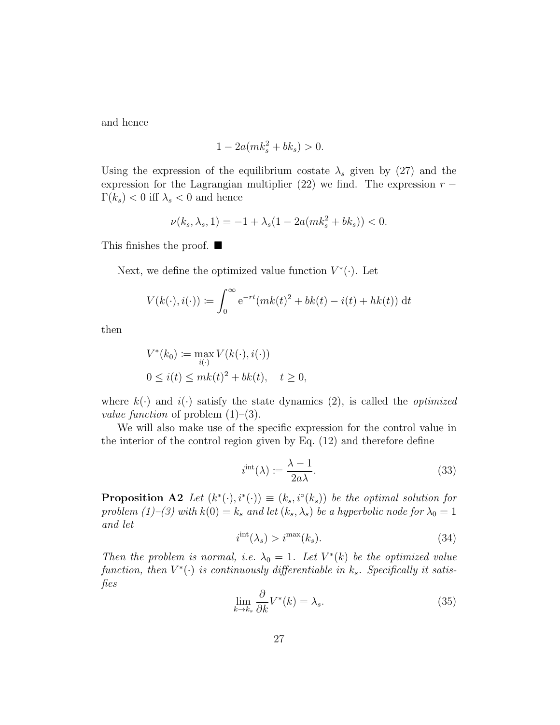and hence

$$
1 - 2a(mk_s^2 + bk_s) > 0.
$$

Using the expression of the equilibrium costate  $\lambda_s$  given by (27) and the expression for the Lagrangian multiplier (22) we find. The expression  $r \Gamma(k_s) < 0$  iff  $\lambda_s < 0$  and hence

$$
\nu(k_s, \lambda_s, 1) = -1 + \lambda_s (1 - 2a(mk_s^2 + bk_s)) < 0.
$$

This finishes the proof.  $\blacksquare$ 

Next, we define the optimized value function  $V^*(\cdot)$ . Let

$$
V(k(\cdot), i(\cdot)) \coloneqq \int_0^\infty e^{-rt} (mk(t)^2 + bk(t) - i(t) + hk(t)) dt
$$

then

$$
V^*(k_0) := \max_{i(\cdot)} V(k(\cdot), i(\cdot))
$$
  
0 \le i(t) \le mk(t)<sup>2</sup> + bk(t), t \ge 0,

where  $k(\cdot)$  and  $i(\cdot)$  satisfy the state dynamics (2), is called the *optimized value function* of problem  $(1)$ – $(3)$ .

We will also make use of the specific expression for the control value in the interior of the control region given by Eq. (12) and therefore define

$$
i^{\text{int}}(\lambda) \coloneqq \frac{\lambda - 1}{2a\lambda}.\tag{33}
$$

**Proposition A2** Let  $(k^*(\cdot), i^*(\cdot)) \equiv (k_s, i^{\circ}(k_s))$  be the optimal solution for problem (1)–(3) with  $k(0) = k_s$  and let  $(k_s, \lambda_s)$  be a hyperbolic node for  $\lambda_0 = 1$ and let

$$
i^{\text{int}}(\lambda_s) > i^{\text{max}}(k_s). \tag{34}
$$

Then the problem is normal, i.e.  $\lambda_0 = 1$ . Let  $V^*(k)$  be the optimized value function, then  $V^*(\cdot)$  is continuously differentiable in  $k_s$ . Specifically it satisfies

$$
\lim_{k \to k_s} \frac{\partial}{\partial k} V^*(k) = \lambda_s. \tag{35}
$$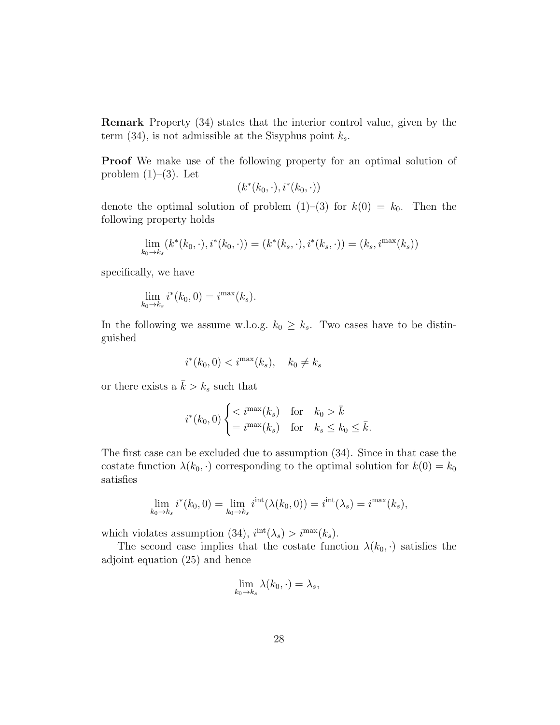Remark Property (34) states that the interior control value, given by the term (34), is not admissible at the Sisyphus point  $k_s$ .

Proof We make use of the following property for an optimal solution of problem  $(1)$ – $(3)$ . Let

 $(k^*(k_0, \cdot), i^*(k_0, \cdot))$ 

denote the optimal solution of problem  $(1)-(3)$  for  $k(0) = k_0$ . Then the following property holds

$$
\lim_{k_0 \to k_s} (k^*(k_0, \cdot), i^*(k_0, \cdot)) = (k^*(k_s, \cdot), i^*(k_s, \cdot)) = (k_s, i^{\max}(k_s))
$$

specifically, we have

$$
\lim_{k_0 \to k_s} i^*(k_0, 0) = i^{\max}(k_s).
$$

In the following we assume w.l.o.g.  $k_0 \geq k_s$ . Two cases have to be distinguished

$$
i^*(k_0, 0) < i^{\max}(k_s), \quad k_0 \neq k_s
$$

or there exists a  $\bar{k} > k_s$  such that

$$
i^*(k_0, 0) \begin{cases} < i^{\max}(k_s) \quad \text{for} \quad k_0 > \bar{k} \\ = & i^{\max}(k_s) \quad \text{for} \quad k_s \le k_0 \le \bar{k}. \end{cases}
$$

The first case can be excluded due to assumption (34). Since in that case the costate function  $\lambda(k_0, \cdot)$  corresponding to the optimal solution for  $k(0) = k_0$ satisfies

$$
\lim_{k_0 \to k_s} i^*(k_0, 0) = \lim_{k_0 \to k_s} i^{\text{int}}(\lambda(k_0, 0)) = i^{\text{int}}(\lambda_s) = i^{\text{max}}(k_s),
$$

which violates assumption (34),  $i^{int}(\lambda_s) > i^{max}(k_s)$ .

The second case implies that the costate function  $\lambda(k_0, \cdot)$  satisfies the adjoint equation (25) and hence

$$
\lim_{k_0 \to k_s} \lambda(k_0, \cdot) = \lambda_s,
$$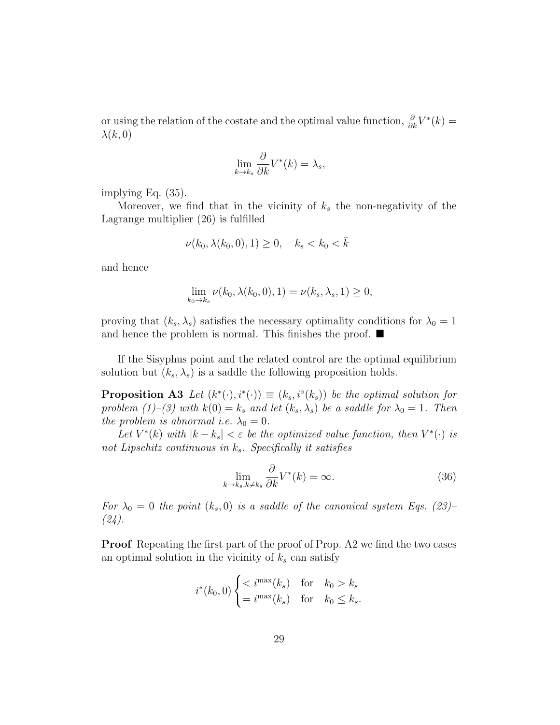or using the relation of the costate and the optimal value function,  $\frac{\partial}{\partial k}V^*(k) =$  $\lambda(k,0)$ 

$$
\lim_{k \to k_s} \frac{\partial}{\partial k} V^*(k) = \lambda_s,
$$

implying Eq. (35).

Moreover, we find that in the vicinity of  $k<sub>s</sub>$  the non-negativity of the Lagrange multiplier (26) is fulfilled

$$
\nu(k_0, \lambda(k_0, 0), 1) \ge 0, \quad k_s < k_0 < \bar{k}
$$

and hence

$$
\lim_{k_0 \to k_s} \nu(k_0, \lambda(k_0, 0), 1) = \nu(k_s, \lambda_s, 1) \ge 0,
$$

proving that  $(k_s, \lambda_s)$  satisfies the necessary optimality conditions for  $\lambda_0 = 1$ and hence the problem is normal. This finishes the proof.  $\blacksquare$ 

If the Sisyphus point and the related control are the optimal equilibrium solution but  $(k_s, \lambda_s)$  is a saddle the following proposition holds.

**Proposition A3** Let  $(k^*(\cdot), i^*(\cdot)) \equiv (k_s, i^{\circ}(k_s))$  be the optimal solution for problem (1)–(3) with  $k(0) = k_s$  and let  $(k_s, \lambda_s)$  be a saddle for  $\lambda_0 = 1$ . Then the problem is abnormal i.e.  $\lambda_0 = 0$ .

Let  $V^*(k)$  with  $|k - k_s| < \varepsilon$  be the optimized value function, then  $V^*(\cdot)$  is not Lipschitz continuous in  $k_s$ . Specifically it satisfies

$$
\lim_{k \to k_s, k \neq k_s} \frac{\partial}{\partial k} V^*(k) = \infty.
$$
\n(36)

For  $\lambda_0 = 0$  the point  $(k_s, 0)$  is a saddle of the canonical system Eqs. (23)–  $(24)$ .

Proof Repeating the first part of the proof of Prop. A2 we find the two cases an optimal solution in the vicinity of  $k_s$  can satisfy

$$
i^*(k_0, 0) \begin{cases} < i^{\max}(k_s) \quad \text{for} \quad k_0 > k_s \\ = & i^{\max}(k_s) \quad \text{for} \quad k_0 \le k_s. \end{cases}
$$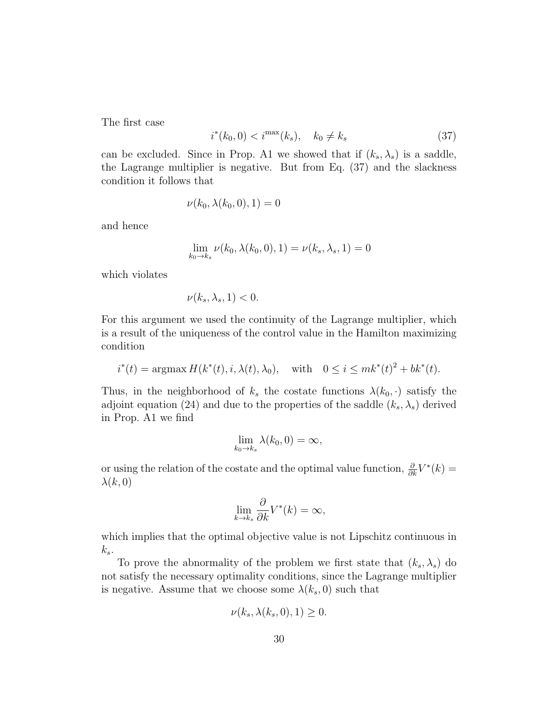The first case

$$
i^*(k_0, 0) < i^{\max}(k_s), \quad k_0 \neq k_s \tag{37}
$$

can be excluded. Since in Prop. A1 we showed that if  $(k_s, \lambda_s)$  is a saddle, the Lagrange multiplier is negative. But from Eq. (37) and the slackness condition it follows that

$$
\nu(k_0, \lambda(k_0, 0), 1) = 0
$$

and hence

$$
\lim_{k_0 \to k_s} \nu(k_0, \lambda(k_0, 0), 1) = \nu(k_s, \lambda_s, 1) = 0
$$

which violates

$$
\nu(k_s, \lambda_s, 1) < 0.
$$

For this argument we used the continuity of the Lagrange multiplier, which is a result of the uniqueness of the control value in the Hamilton maximizing condition

$$
i^*(t) = \operatorname{argmax} H(k^*(t), i, \lambda(t), \lambda_0), \quad \text{with} \quad 0 \le i \le mk^*(t)^2 + bk^*(t).
$$

Thus, in the neighborhood of  $k<sub>s</sub>$  the costate functions  $\lambda(k_0, \cdot)$  satisfy the adjoint equation (24) and due to the properties of the saddle  $(k_s, \lambda_s)$  derived in Prop. A1 we find

$$
\lim_{k_0 \to k_s} \lambda(k_0, 0) = \infty,
$$

or using the relation of the costate and the optimal value function,  $\frac{\partial}{\partial k}V^*(k) =$  $\lambda(k,0)$ 

$$
\lim_{k \to k_s} \frac{\partial}{\partial k} V^*(k) = \infty,
$$

which implies that the optimal objective value is not Lipschitz continuous in  $k_s$ .

To prove the abnormality of the problem we first state that  $(k_s, \lambda_s)$  do not satisfy the necessary optimality conditions, since the Lagrange multiplier is negative. Assume that we choose some  $\lambda(k_s, 0)$  such that

$$
\nu(k_s, \lambda(k_s, 0), 1) \ge 0.
$$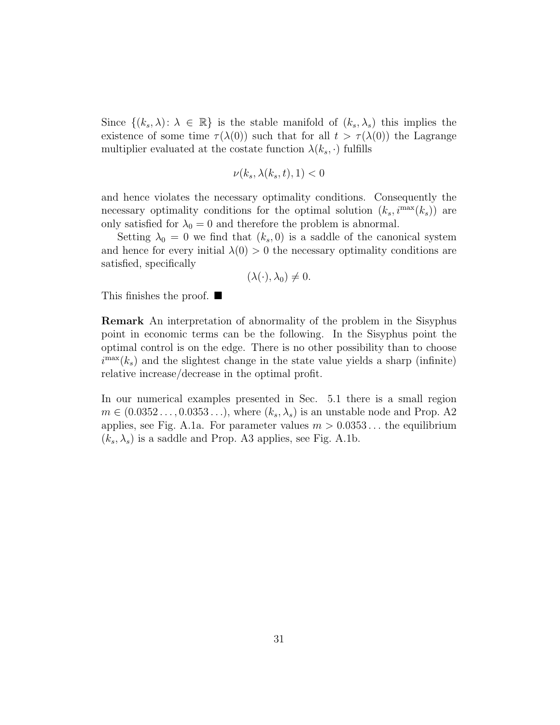Since  $\{(k_s, \lambda): \lambda \in \mathbb{R}\}\$ is the stable manifold of  $(k_s, \lambda_s)$  this implies the existence of some time  $\tau(\lambda(0))$  such that for all  $t > \tau(\lambda(0))$  the Lagrange multiplier evaluated at the costate function  $\lambda(k_s, \cdot)$  fulfills

$$
\nu(k_s, \lambda(k_s, t), 1) < 0
$$

and hence violates the necessary optimality conditions. Consequently the necessary optimality conditions for the optimal solution  $(k_s, i^{\max}(k_s))$  are only satisfied for  $\lambda_0 = 0$  and therefore the problem is abnormal.

Setting  $\lambda_0 = 0$  we find that  $(k_s, 0)$  is a saddle of the canonical system and hence for every initial  $\lambda(0) > 0$  the necessary optimality conditions are satisfied, specifically

$$
(\lambda(\cdot),\lambda_0)\neq 0.
$$

This finishes the proof.  $\blacksquare$ 

Remark An interpretation of abnormality of the problem in the Sisyphus point in economic terms can be the following. In the Sisyphus point the optimal control is on the edge. There is no other possibility than to choose  $i^{\max}(k_s)$  and the slightest change in the state value yields a sharp (infinite) relative increase/decrease in the optimal profit.

In our numerical examples presented in Sec. 5.1 there is a small region  $m \in (0.0352 \ldots, 0.0353 \ldots),$  where  $(k_s, \lambda_s)$  is an unstable node and Prop. A2 applies, see Fig. A.1a. For parameter values  $m > 0.0353...$  the equilibrium  $(k_s, \lambda_s)$  is a saddle and Prop. A3 applies, see Fig. A.1b.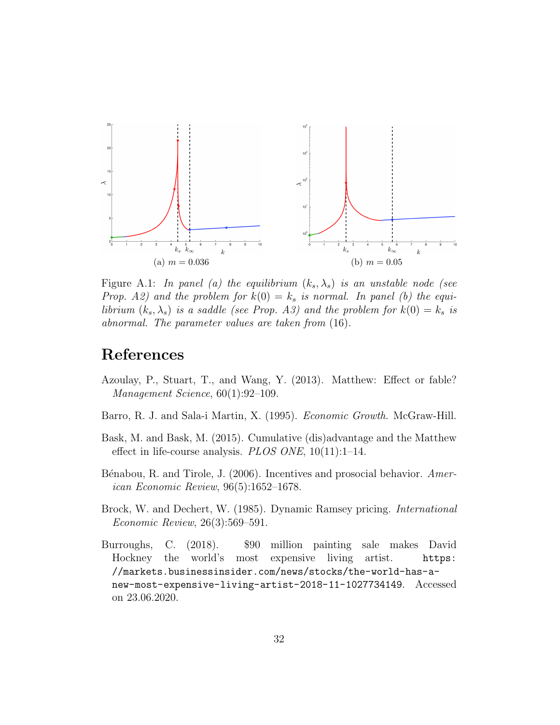

Figure A.1: In panel (a) the equilibrium  $(k_s, \lambda_s)$  is an unstable node (see Prop. A2) and the problem for  $k(0) = k_s$  is normal. In panel (b) the equilibrium  $(k_s, \lambda_s)$  is a saddle (see Prop. A3) and the problem for  $k(0) = k_s$  is abnormal. The parameter values are taken from (16).

## References

- Azoulay, P., Stuart, T., and Wang, Y. (2013). Matthew: Effect or fable? Management Science, 60(1):92–109.
- Barro, R. J. and Sala-i Martin, X. (1995). Economic Growth. McGraw-Hill.
- Bask, M. and Bask, M. (2015). Cumulative (dis)advantage and the Matthew effect in life-course analysis. PLOS ONE,  $10(11):1-14$ .
- Bénabou, R. and Tirole, J. (2006). Incentives and prosocial behavior. American Economic Review, 96(5):1652–1678.
- Brock, W. and Dechert, W. (1985). Dynamic Ramsey pricing. International Economic Review, 26(3):569–591.
- Burroughs, C. (2018). \$90 million painting sale makes David Hockney the world's most expensive living artist. https: //markets.businessinsider.com/news/stocks/the-world-has-anew-most-expensive-living-artist-2018-11-1027734149. Accessed on 23.06.2020.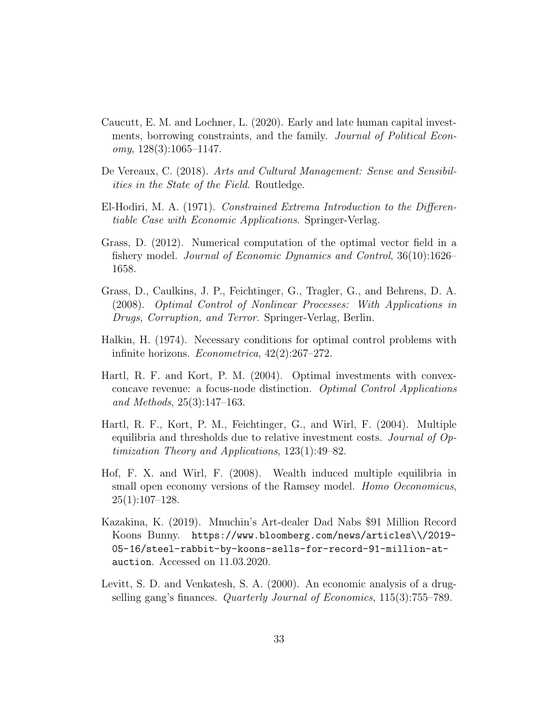- Caucutt, E. M. and Lochner, L. (2020). Early and late human capital investments, borrowing constraints, and the family. Journal of Political Economy,  $128(3):1065-1147$ .
- De Vereaux, C. (2018). Arts and Cultural Management: Sense and Sensibilities in the State of the Field. Routledge.
- El-Hodiri, M. A. (1971). Constrained Extrema Introduction to the Differentiable Case with Economic Applications. Springer-Verlag.
- Grass, D. (2012). Numerical computation of the optimal vector field in a fishery model. Journal of Economic Dynamics and Control, 36(10):1626– 1658.
- Grass, D., Caulkins, J. P., Feichtinger, G., Tragler, G., and Behrens, D. A. (2008). Optimal Control of Nonlinear Processes: With Applications in Drugs, Corruption, and Terror. Springer-Verlag, Berlin.
- Halkin, H. (1974). Necessary conditions for optimal control problems with infinite horizons. Econometrica, 42(2):267–272.
- Hartl, R. F. and Kort, P. M. (2004). Optimal investments with convexconcave revenue: a focus-node distinction. Optimal Control Applications and Methods, 25(3):147–163.
- Hartl, R. F., Kort, P. M., Feichtinger, G., and Wirl, F. (2004). Multiple equilibria and thresholds due to relative investment costs. Journal of Optimization Theory and Applications, 123(1):49–82.
- Hof, F. X. and Wirl, F. (2008). Wealth induced multiple equilibria in small open economy versions of the Ramsey model. *Homo Oeconomicus*,  $25(1):107-128.$
- Kazakina, K. (2019). Mnuchin's Art-dealer Dad Nabs \$91 Million Record Koons Bunny. https://www.bloomberg.com/news/articles\\/2019- 05-16/steel-rabbit-by-koons-sells-for-record-91-million-atauction. Accessed on 11.03.2020.
- Levitt, S. D. and Venkatesh, S. A. (2000). An economic analysis of a drugselling gang's finances. Quarterly Journal of Economics, 115(3):755–789.